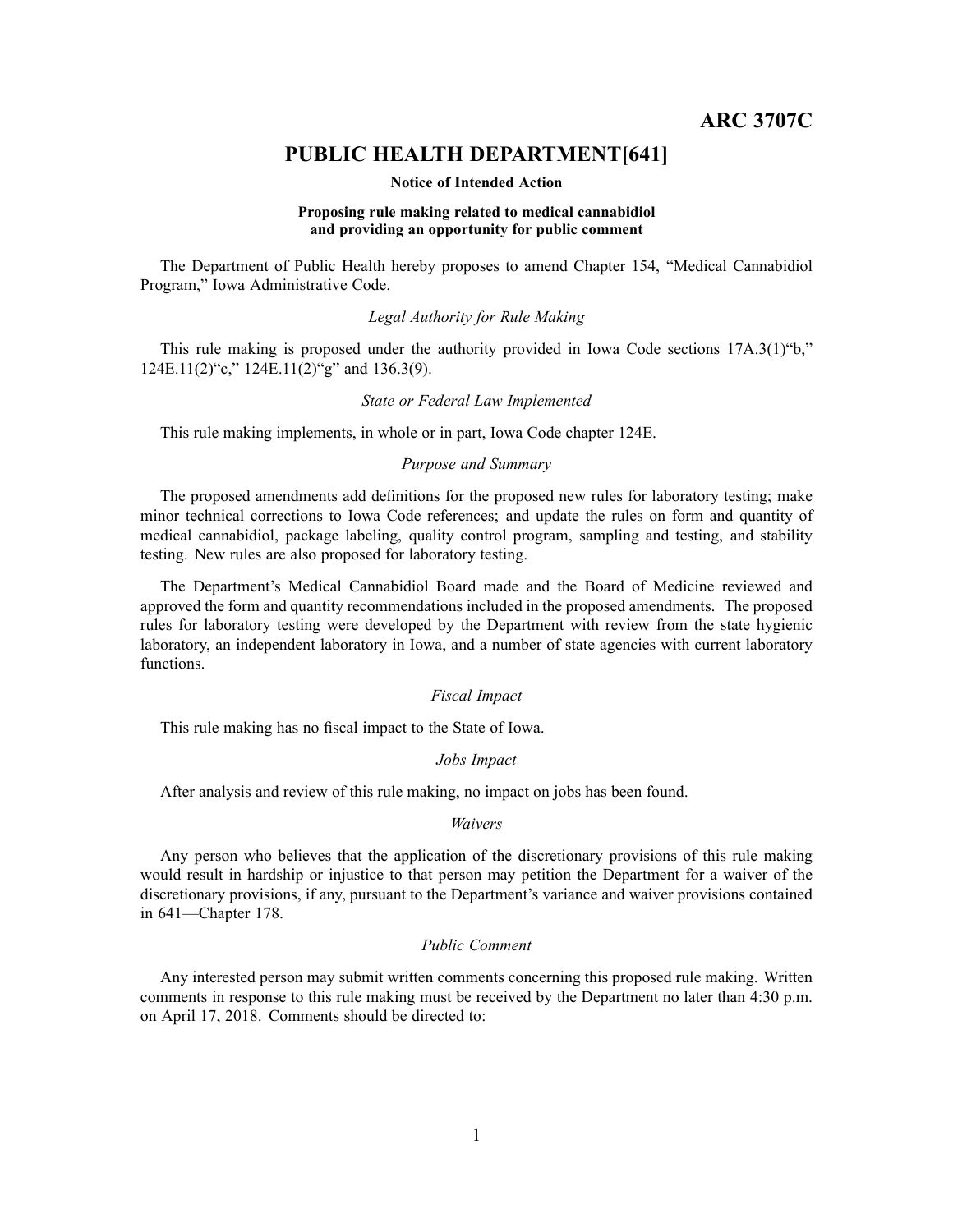**ARC 3707C**

# **PUBLIC HEALTH DEPARTMENT[641]**

#### **Notice of Intended Action**

### **Proposing rule making related to medical cannabidiol and providing an opportunity for public comment**

The Department of Public Health hereby proposes to amend Chapter 154, "Medical Cannabidiol Program," Iowa Administrative Code.

### *Legal Authority for Rule Making*

This rule making is proposed under the authority provided in Iowa Code sections 17A.3(1)"b," 124E.11(2)"c," 124E.11(2)"g" and 136.3(9).

#### *State or Federal Law Implemented*

This rule making implements, in whole or in part, Iowa Code chapter 124E.

# *Purpose and Summary*

The proposed amendments add definitions for the proposed new rules for laboratory testing; make minor technical corrections to Iowa Code references; and update the rules on form and quantity of medical cannabidiol, package labeling, quality control program, sampling and testing, and stability testing. New rules are also proposed for laboratory testing.

The Department's Medical Cannabidiol Board made and the Board of Medicine reviewed and approved the form and quantity recommendations included in the proposed amendments. The proposed rules for laboratory testing were developed by the Department with review from the state hygienic laboratory, an independent laboratory in Iowa, and <sup>a</sup> number of state agencies with current laboratory functions.

# *Fiscal Impact*

This rule making has no fiscal impact to the State of Iowa.

# *Jobs Impact*

After analysis and review of this rule making, no impact on jobs has been found.

#### *Waivers*

Any person who believes that the application of the discretionary provisions of this rule making would result in hardship or injustice to that person may petition the Department for <sup>a</sup> waiver of the discretionary provisions, if any, pursuan<sup>t</sup> to the Department's variance and waiver provisions contained in 641—Chapter 178.

#### *Public Comment*

Any interested person may submit written comments concerning this proposed rule making. Written comments in response to this rule making must be received by the Department no later than 4:30 p.m. on April 17, 2018. Comments should be directed to: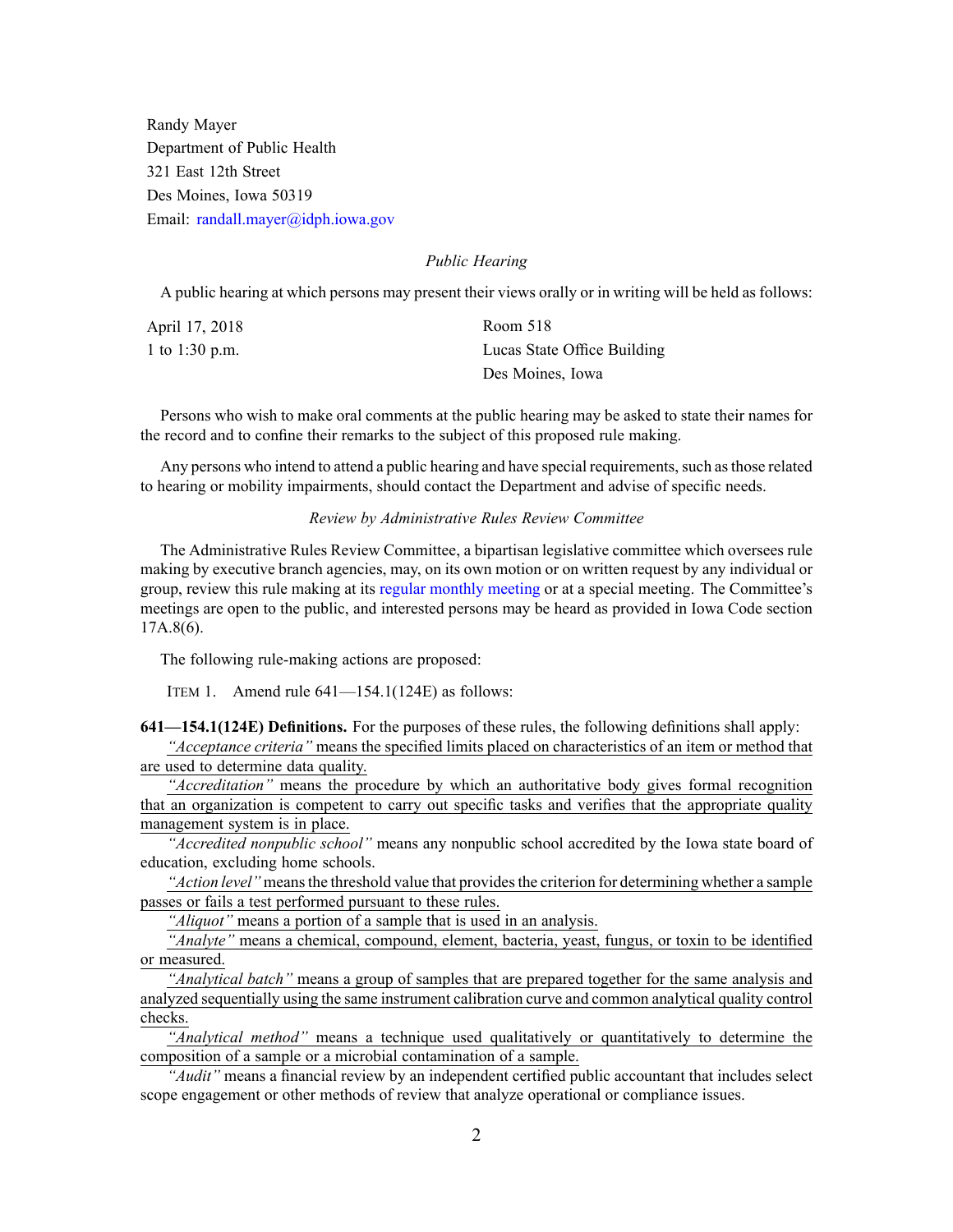Randy Mayer Department of Public Health 321 East 12th Street Des Moines, Iowa 50319 Email: [randall.mayer@idph.iowa.gov](mailto:randall.mayer@idph.iowa.gov)

# *Public Hearing*

A public hearing at which persons may presen<sup>t</sup> their views orally or in writing will be held as follows:

| April 17, 2018 | Room 518                    |
|----------------|-----------------------------|
| 1 to 1:30 p.m. | Lucas State Office Building |
|                | Des Moines, Iowa            |

Persons who wish to make oral comments at the public hearing may be asked to state their names for the record and to confine their remarks to the subject of this proposed rule making.

Any persons who intend to attend a public hearing and have special requirements, such as those related to hearing or mobility impairments, should contact the Department and advise of specific needs.

# *Review by Administrative Rules Review Committee*

The Administrative Rules Review Committee, <sup>a</sup> bipartisan legislative committee which oversees rule making by executive branch agencies, may, on its own motion or on written reques<sup>t</sup> by any individual or group, review this rule making at its regular [monthly](https://www.legis.iowa.gov/committees/meetings/meetingsListComm?groupID=705&ga=87) meeting or at <sup>a</sup> special meeting. The Committee's meetings are open to the public, and interested persons may be heard as provided in Iowa Code section 17A.8(6).

The following rule-making actions are proposed:

ITEM 1. Amend rule 641—154.1(124E) as follows:

**641—154.1(124E) Definitions.** For the purposes of these rules, the following definitions shall apply:

*"Acceptance criteria"* means the specified limits placed on characteristics of an item or method that are used to determine data quality.

*"Accreditation"* means the procedure by which an authoritative body gives formal recognition that an organization is competent to carry out specific tasks and verifies that the appropriate quality managemen<sup>t</sup> system is in place.

*"Accredited nonpublic school"* means any nonpublic school accredited by the Iowa state board of education, excluding home schools.

"Action level" means the threshold value that provides the criterion for determining whether a sample passes or fails <sup>a</sup> test performed pursuan<sup>t</sup> to these rules.

*"Aliquot"* means <sup>a</sup> portion of <sup>a</sup> sample that is used in an analysis.

*"Analyte"* means <sup>a</sup> chemical, compound, element, bacteria, yeast, fungus, or toxin to be identified or measured.

*"Analytical batch"* means <sup>a</sup> group of samples that are prepared together for the same analysis and analyzed sequentially using the same instrument calibration curve and common analytical quality control checks.

*"Analytical method"* means <sup>a</sup> technique used qualitatively or quantitatively to determine the composition of <sup>a</sup> sample or <sup>a</sup> microbial contamination of <sup>a</sup> sample.

*"Audit"* means <sup>a</sup> financial review by an independent certified public accountant that includes select scope engagemen<sup>t</sup> or other methods of review that analyze operational or compliance issues.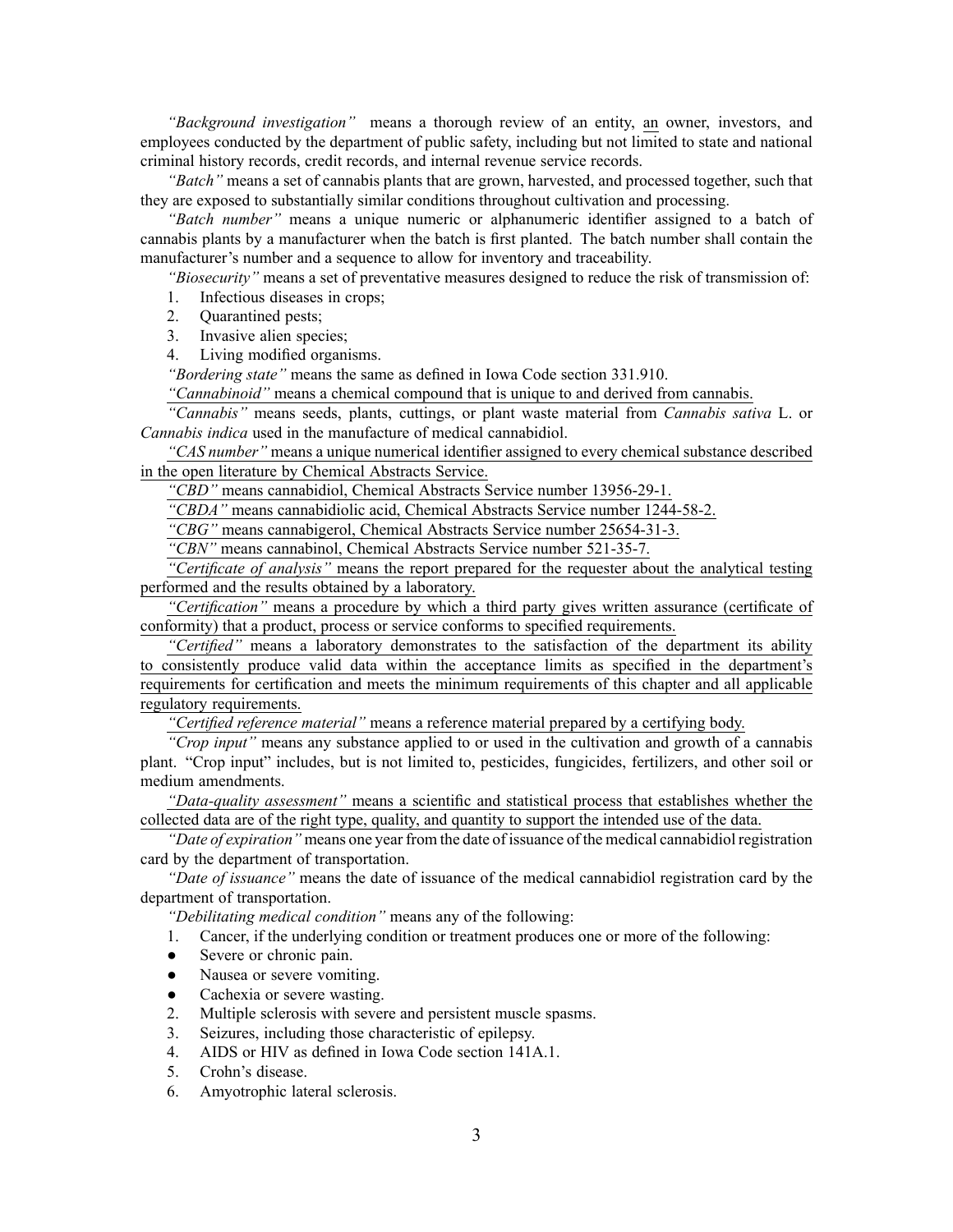*"Background investigation"* means <sup>a</sup> thorough review of an entity, an owner, investors, and employees conducted by the department of public safety, including but not limited to state and national criminal history records, credit records, and internal revenue service records.

*"Batch"* means <sup>a</sup> set of cannabis plants that are grown, harvested, and processed together, such that they are exposed to substantially similar conditions throughout cultivation and processing.

*"Batch number"* means <sup>a</sup> unique numeric or alphanumeric identifier assigned to <sup>a</sup> batch of cannabis plants by <sup>a</sup> manufacturer when the batch is first planted. The batch number shall contain the manufacturer's number and <sup>a</sup> sequence to allow for inventory and traceability.

*"Biosecurity"* means <sup>a</sup> set of preventative measures designed to reduce the risk of transmission of:

1. Infectious diseases in crops;

2. Quarantined pests;

3. Invasive alien species;

4. Living modified organisms.

*"Bordering state"* means the same as defined in Iowa Code section [331.910](https://www.legis.iowa.gov/docs/ico/section/2017/331.910.pdf).

*"Cannabinoid"* means <sup>a</sup> chemical compound that is unique to and derived from cannabis.

*"Cannabis"* means seeds, plants, cuttings, or plant waste material from *Cannabis sativa* L. or *Cannabis indica* used in the manufacture of medical cannabidiol.

*"CAS number"* means <sup>a</sup> unique numerical identifier assigned to every chemical substance described in the open literature by Chemical Abstracts Service.

*"CBD"* means cannabidiol, Chemical Abstracts Service number 13956-29-1.

*"CBDA"* means cannabidiolic acid, Chemical Abstracts Service number 1244-58-2.

*"CBG"* means cannabigerol, Chemical Abstracts Service number 25654-31-3.

*"CBN"* means cannabinol, Chemical Abstracts Service number 521-35-7.

*"Certificate of analysis"* means the repor<sup>t</sup> prepared for the requester about the analytical testing performed and the results obtained by <sup>a</sup> laboratory.

*"Certification"* means <sup>a</sup> procedure by which <sup>a</sup> third party gives written assurance (certificate of conformity) that <sup>a</sup> product, process or service conforms to specified requirements.

*"Certified"* means <sup>a</sup> laboratory demonstrates to the satisfaction of the department its ability to consistently produce valid data within the acceptance limits as specified in the department's requirements for certification and meets the minimum requirements of this chapter and all applicable regulatory requirements.

*"Certified reference material"* means <sup>a</sup> reference material prepared by <sup>a</sup> certifying body.

*"Crop input"* means any substance applied to or used in the cultivation and growth of <sup>a</sup> cannabis plant. "Crop input" includes, but is not limited to, pesticides, fungicides, fertilizers, and other soil or medium amendments.

*"Data-quality assessment"* means <sup>a</sup> scientific and statistical process that establishes whether the collected data are of the right type, quality, and quantity to suppor<sup>t</sup> the intended use of the data.

*"Date of expiration"* means one year from the date of issuance of the medical cannabidiol registration card by the department of transportation.

*"Date of issuance"* means the date of issuance of the medical cannabidiol registration card by the department of transportation.

*"Debilitating medical condition"* means any of the following:

1. Cancer, if the underlying condition or treatment produces one or more of the following:

- $\bullet$ Severe or chronic pain.
- $\bullet$ Nausea or severe vomiting.
- $\bullet$ Cachexia or severe wasting.
- 2. Multiple sclerosis with severe and persistent muscle spasms.
- 3. Seizures, including those characteristic of epilepsy.
- 4. AIDS or HIV as defined in Iowa Code section [141A.1](https://www.legis.iowa.gov/docs/ico/section/2017/141A.1.pdf).
- 5. Crohn's disease.
- 6. Amyotrophic lateral sclerosis.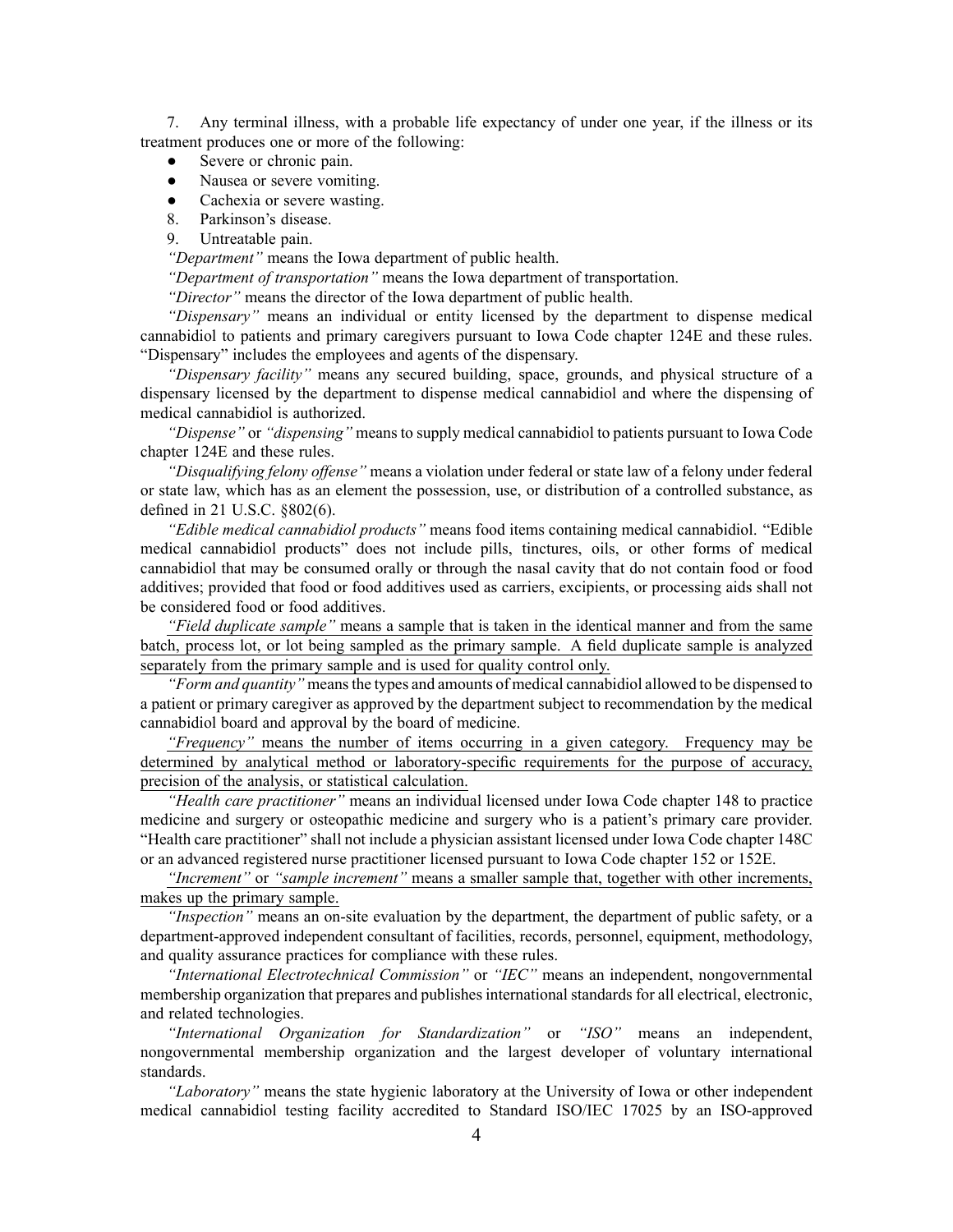7. Any terminal illness, with <sup>a</sup> probable life expectancy of under one year, if the illness or its treatment produces one or more of the following:

- ●Severe or chronic pain.
- ●Nausea or severe vomiting.
- $\bullet$ Cachexia or severe wasting.
- 8. Parkinson's disease.
- 9. Untreatable pain.

*"Department"* means the Iowa department of public health.

*"Department of transportation"* means the Iowa department of transportation.

*"Director"* means the director of the Iowa department of public health.

*"Dispensary"* means an individual or entity licensed by the department to dispense medical cannabidiol to patients and primary caregivers pursuan<sup>t</sup> to Iowa Code chapter [124E](https://www.legis.iowa.gov/docs/ico/chapter/2018/124E.pdf) and these rules. "Dispensary" includes the employees and agents of the dispensary.

*"Dispensary facility"* means any secured building, space, grounds, and physical structure of <sup>a</sup> dispensary licensed by the department to dispense medical cannabidiol and where the dispensing of medical cannabidiol is authorized.

*"Dispense"* or *"dispensing"* means to supply medical cannabidiol to patients pursuan<sup>t</sup> to Iowa Code chapter [124E](https://www.legis.iowa.gov/docs/ico/chapter/2018/124E.pdf) and these rules.

*"Disqualifying felony offense"* means <sup>a</sup> violation under federal or state law of <sup>a</sup> felony under federal or state law, which has as an element the possession, use, or distribution of <sup>a</sup> controlled substance, as defined in 21 U.S.C. §802(6).

*"Edible medical cannabidiol products"* means food items containing medical cannabidiol. "Edible medical cannabidiol products" does not include pills, tinctures, oils, or other forms of medical cannabidiol that may be consumed orally or through the nasal cavity that do not contain food or food additives; provided that food or food additives used as carriers, excipients, or processing aids shall not be considered food or food additives.

*"Field duplicate sample"* means <sup>a</sup> sample that is taken in the identical manner and from the same batch, process lot, or lot being sampled as the primary sample. A field duplicate sample is analyzed separately from the primary sample and is used for quality control only.

*"Form and quantity"* means the types and amounts of medical cannabidiol allowed to be dispensed to <sup>a</sup> patient or primary caregiver as approved by the department subject to recommendation by the medical cannabidiol board and approval by the board of medicine.

*"Frequency"* means the number of items occurring in <sup>a</sup> given category. Frequency may be determined by analytical method or laboratory-specific requirements for the purpose of accuracy, precision of the analysis, or statistical calculation.

*"Health care practitioner"* means an individual licensed under Iowa Code chapter [148](https://www.legis.iowa.gov/docs/ico/chapter/2017/148.pdf) to practice medicine and surgery or osteopathic medicine and surgery who is <sup>a</sup> patient's primary care provider. "Health care practitioner" shall not include <sup>a</sup> physician assistant licensed under Iowa Code chapter [148C](https://www.legis.iowa.gov/docs/ico/chapter/2017/148C.pdf) or an advanced registered nurse practitioner licensed pursuan<sup>t</sup> to Iowa Code chapter [152](https://www.legis.iowa.gov/docs/ico/chapter/2017/152.pdf) or [152E](https://www.legis.iowa.gov/docs/ico/chapter/2017/152E.pdf).

*"Increment"* or *"sample increment"* means <sup>a</sup> smaller sample that, together with other increments, makes up the primary sample.

*"Inspection"* means an on-site evaluation by the department, the department of public safety, or <sup>a</sup> department-approved independent consultant of facilities, records, personnel, equipment, methodology, and quality assurance practices for compliance with these rules.

*"International Electrotechnical Commission"* or *"IEC"* means an independent, nongovernmental membership organization that prepares and publishes international standards for all electrical, electronic, and related technologies.

*"International Organization for Standardization"* or *"ISO"* means an independent, nongovernmental membership organization and the largest developer of voluntary international standards.

*"Laboratory"* means the state hygienic laboratory at the University of Iowa or other independent medical cannabidiol testing facility accredited to Standard ISO/IEC 17025 by an ISO-approved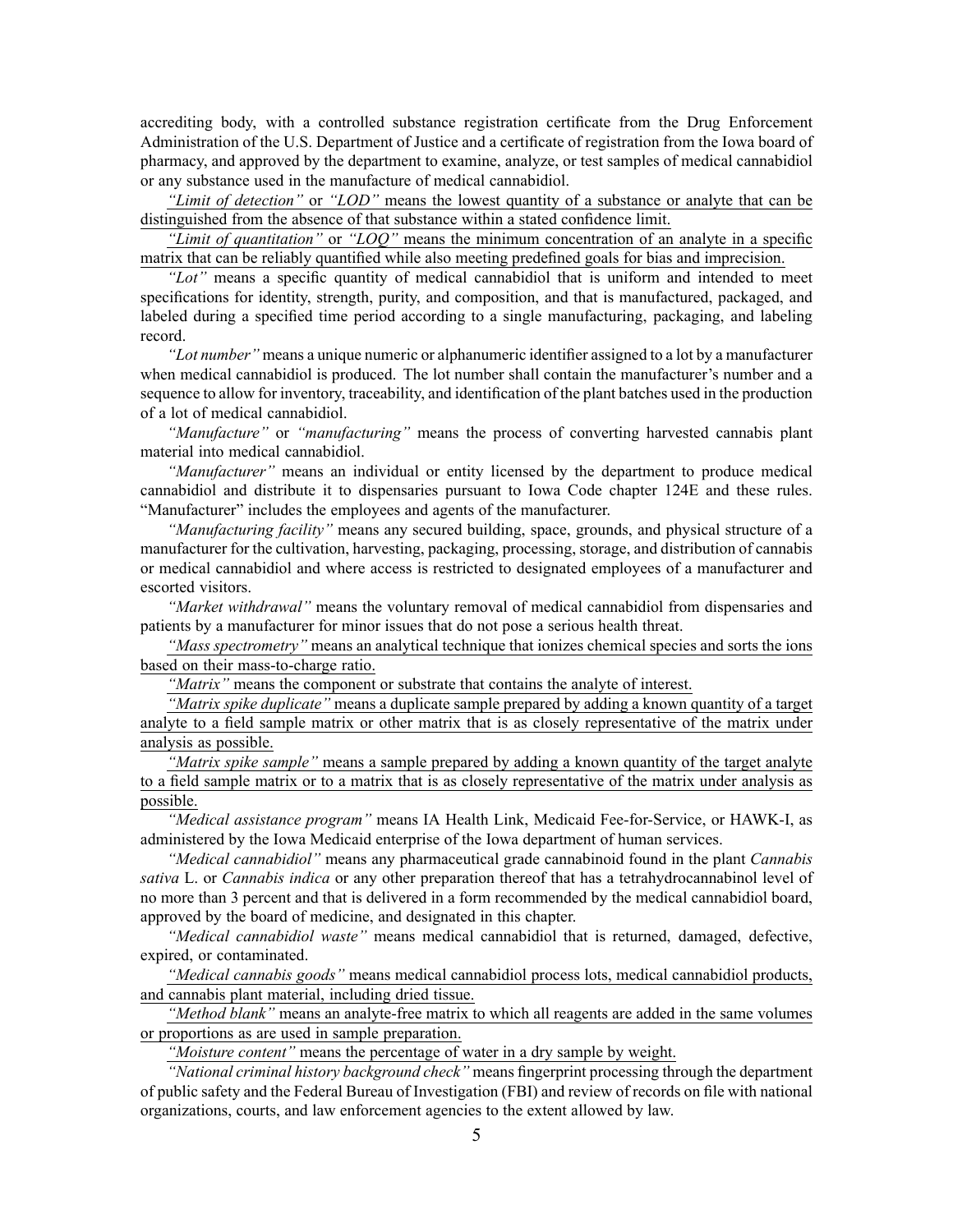accrediting body, with <sup>a</sup> controlled substance registration certificate from the Drug Enforcement Administration of the U.S. Department of Justice and <sup>a</sup> certificate of registration from the Iowa board of pharmacy, and approved by the department to examine, analyze, or test samples of medical cannabidiol or any substance used in the manufacture of medical cannabidiol.

*"Limit of detection"* or *"LOD"* means the lowest quantity of <sup>a</sup> substance or analyte that can be distinguished from the absence of that substance within <sup>a</sup> stated confidence limit.

*"Limit of quantitation"* or *"LOQ"* means the minimum concentration of an analyte in <sup>a</sup> specific matrix that can be reliably quantified while also meeting predefined goals for bias and imprecision.

*"Lot"* means <sup>a</sup> specific quantity of medical cannabidiol that is uniform and intended to meet specifications for identity, strength, purity, and composition, and that is manufactured, packaged, and labeled during <sup>a</sup> specified time period according to <sup>a</sup> single manufacturing, packaging, and labeling record.

*"Lot number"* means <sup>a</sup> unique numeric or alphanumeric identifier assigned to <sup>a</sup> lot by <sup>a</sup> manufacturer when medical cannabidiol is produced. The lot number shall contain the manufacturer's number and <sup>a</sup> sequence to allow for inventory, traceability, and identification of the plant batches used in the production of <sup>a</sup> lot of medical cannabidiol.

*"Manufacture"* or *"manufacturing"* means the process of converting harvested cannabis plant material into medical cannabidiol.

*"Manufacturer"* means an individual or entity licensed by the department to produce medical cannabidiol and distribute it to dispensaries pursuan<sup>t</sup> to Iowa Code chapter [124E](https://www.legis.iowa.gov/docs/ico/chapter/2018/124E.pdf) and these rules. "Manufacturer" includes the employees and agents of the manufacturer.

*"Manufacturing facility"* means any secured building, space, grounds, and physical structure of <sup>a</sup> manufacturer for the cultivation, harvesting, packaging, processing, storage, and distribution of cannabis or medical cannabidiol and where access is restricted to designated employees of <sup>a</sup> manufacturer and escorted visitors.

*"Market withdrawal"* means the voluntary removal of medical cannabidiol from dispensaries and patients by <sup>a</sup> manufacturer for minor issues that do not pose <sup>a</sup> serious health threat.

*"Mass spectrometry"* means an analytical technique that ionizes chemical species and sorts the ions based on their mass-to-charge ratio.

*"Matrix"* means the componen<sup>t</sup> or substrate that contains the analyte of interest.

*"Matrix spike duplicate"* means <sup>a</sup> duplicate sample prepared by adding <sup>a</sup> known quantity of <sup>a</sup> target analyte to <sup>a</sup> field sample matrix or other matrix that is as closely representative of the matrix under analysis as possible.

*"Matrix spike sample"* means <sup>a</sup> sample prepared by adding <sup>a</sup> known quantity of the target analyte to <sup>a</sup> field sample matrix or to <sup>a</sup> matrix that is as closely representative of the matrix under analysis as possible.

*"Medical assistance program"* means IA Health Link, Medicaid Fee-for-Service, or HAWK-I, as administered by the Iowa Medicaid enterprise of the Iowa department of human services.

*"Medical cannabidiol"* means any pharmaceutical grade cannabinoid found in the plant *Cannabis sativa* L. or *Cannabis indica* or any other preparation thereof that has <sup>a</sup> tetrahydrocannabinol level of no more than 3 percen<sup>t</sup> and that is delivered in <sup>a</sup> form recommended by the medical cannabidiol board, approved by the board of medicine, and designated in this chapter.

*"Medical cannabidiol waste"* means medical cannabidiol that is returned, damaged, defective, expired, or contaminated.

*"Medical cannabis goods"* means medical cannabidiol process lots, medical cannabidiol products, and cannabis plant material, including dried tissue.

*"Method blank"* means an analyte-free matrix to which all reagents are added in the same volumes or proportions as are used in sample preparation.

*"Moisture content"* means the percentage of water in <sup>a</sup> dry sample by weight.

*"National criminal history background check"* means fingerprint processing through the department of public safety and the Federal Bureau of Investigation (FBI) and review of records on file with national organizations, courts, and law enforcement agencies to the extent allowed by law.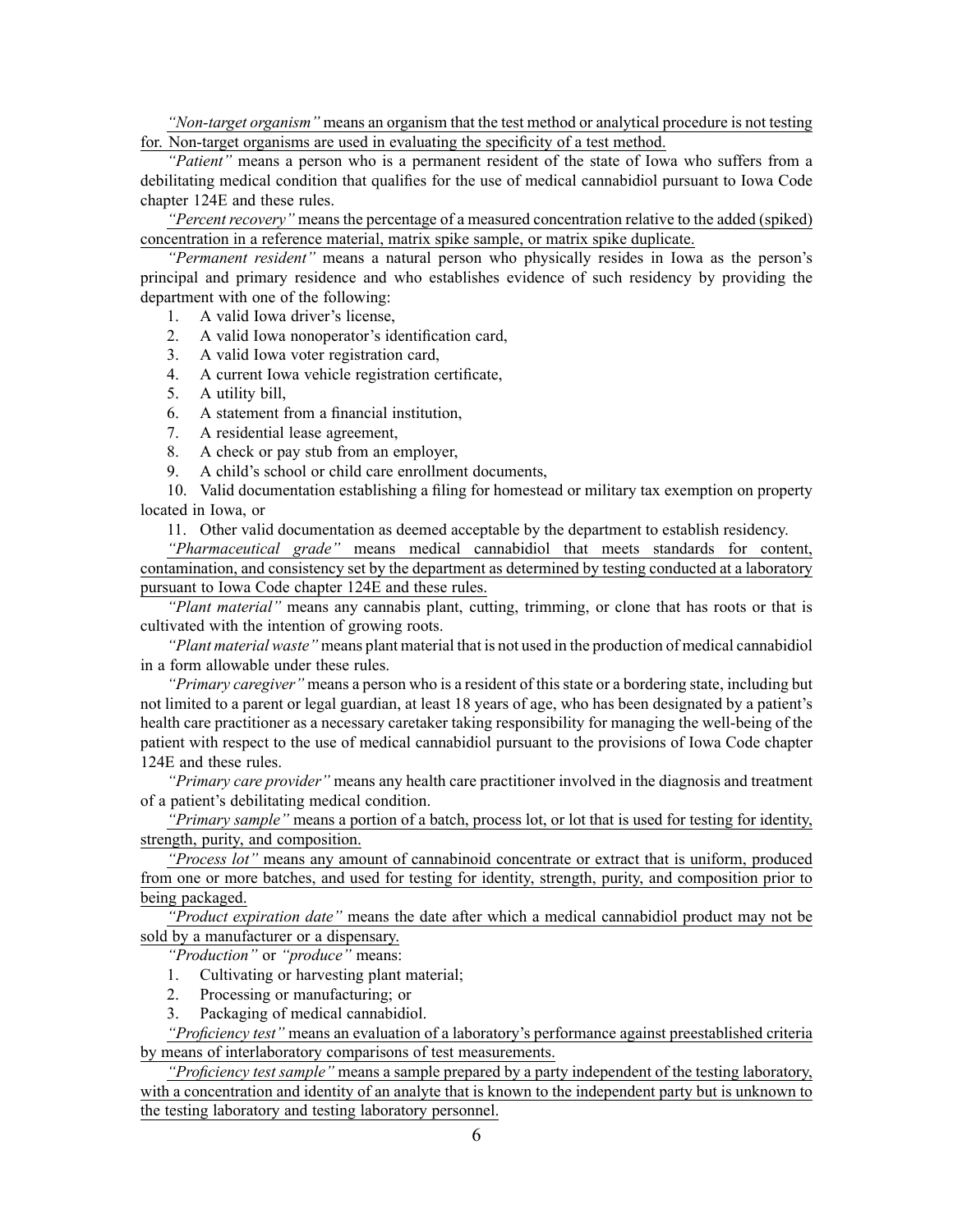*"Non-target organism"* means an organism that the test method or analytical procedure is not testing for. Non-target organisms are used in evaluating the specificity of <sup>a</sup> test method.

*"Patient"* means <sup>a</sup> person who is <sup>a</sup> permanen<sup>t</sup> resident of the state of Iowa who suffers from <sup>a</sup> debilitating medical condition that qualifies for the use of medical cannabidiol pursuan<sup>t</sup> to Iowa Code chapter [124E](https://www.legis.iowa.gov/docs/ico/chapter/2018/124E.pdf) and these rules.

*"Percent recovery"* means the percentage of <sup>a</sup> measured concentration relative to the added (spiked) concentration in <sup>a</sup> reference material, matrix spike sample, or matrix spike duplicate.

*"Permanent resident"* means <sup>a</sup> natural person who physically resides in Iowa as the person's principal and primary residence and who establishes evidence of such residency by providing the department with one of the following:

1. A valid Iowa driver's license,

2. A valid Iowa nonoperator's identification card,

- 3. A valid Iowa voter registration card,
- 4. A current Iowa vehicle registration certificate,
- 5. A utility bill,
- 6. A statement from <sup>a</sup> financial institution,
- 7. A residential lease agreement,
- 8. A check or pay stub from an employer,
- 9. A child's school or child care enrollment documents,

10. Valid documentation establishing <sup>a</sup> filing for homestead or military tax exemption on property located in Iowa, or

11. Other valid documentation as deemed acceptable by the department to establish residency.

*"Pharmaceutical grade"* means medical cannabidiol that meets standards for content, contamination, and consistency set by the department as determined by testing conducted at <sup>a</sup> laboratory pursuan<sup>t</sup> to Iowa Code chapter [124E](https://www.legis.iowa.gov/docs/ico/chapter/2018/124E.pdf) and these rules.

*"Plant material"* means any cannabis plant, cutting, trimming, or clone that has roots or that is cultivated with the intention of growing roots.

*"Plant material waste"* means plant material that is not used in the production of medical cannabidiol in <sup>a</sup> form allowable under these rules.

*"Primary caregiver"* means <sup>a</sup> person who is <sup>a</sup> resident of this state or <sup>a</sup> bordering state, including but not limited to <sup>a</sup> paren<sup>t</sup> or legal guardian, at least 18 years of age, who has been designated by <sup>a</sup> patient's health care practitioner as <sup>a</sup> necessary caretaker taking responsibility for managing the well-being of the patient with respec<sup>t</sup> to the use of medical cannabidiol pursuan<sup>t</sup> to the provisions of Iowa Code chapter [124E](https://www.legis.iowa.gov/docs/ico/chapter/2018/124E.pdf) and these rules.

*"Primary care provider"* means any health care practitioner involved in the diagnosis and treatment of <sup>a</sup> patient's debilitating medical condition.

*"Primary sample"* means <sup>a</sup> portion of <sup>a</sup> batch, process lot, or lot that is used for testing for identity, strength, purity, and composition.

*"Process lot"* means any amount of cannabinoid concentrate or extract that is uniform, produced from one or more batches, and used for testing for identity, strength, purity, and composition prior to being packaged.

*"Product expiration date"* means the date after which <sup>a</sup> medical cannabidiol product may not be sold by <sup>a</sup> manufacturer or <sup>a</sup> dispensary.

*"Production"* or *"produce"* means:

- 1. Cultivating or harvesting plant material;
- 2. Processing or manufacturing; or
- 3. Packaging of medical cannabidiol.

*"Proficiency test"* means an evaluation of <sup>a</sup> laboratory's performance against preestablished criteria by means of interlaboratory comparisons of test measurements.

*"Proficiency test sample"* means <sup>a</sup> sample prepared by <sup>a</sup> party independent of the testing laboratory, with <sup>a</sup> concentration and identity of an analyte that is known to the independent party but is unknown to the testing laboratory and testing laboratory personnel.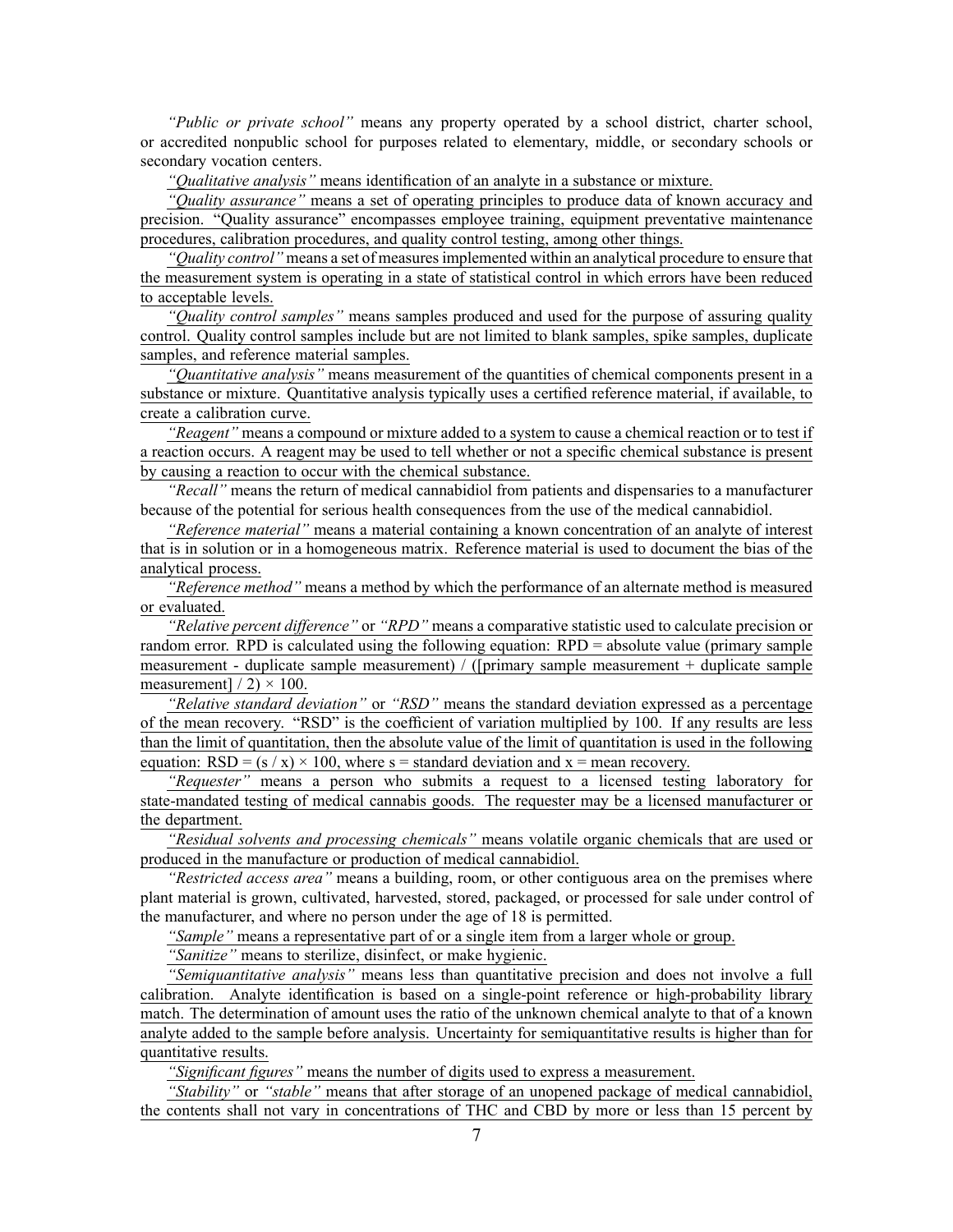*"Public or private school"* means any property operated by <sup>a</sup> school district, charter school, or accredited nonpublic school for purposes related to elementary, middle, or secondary schools or secondary vocation centers.

*"Qualitative analysis"* means identification of an analyte in <sup>a</sup> substance or mixture.

*"Quality assurance"* means <sup>a</sup> set of operating principles to produce data of known accuracy and precision. "Quality assurance" encompasses employee training, equipment preventative maintenance procedures, calibration procedures, and quality control testing, among other things.

*"Quality control"* means <sup>a</sup> set of measuresimplemented within an analytical procedure to ensure that the measurement system is operating in <sup>a</sup> state of statistical control in which errors have been reduced to acceptable levels.

*"Quality control samples"* means samples produced and used for the purpose of assuring quality control. Quality control samples include but are not limited to blank samples, spike samples, duplicate samples, and reference material samples.

*"Quantitative analysis"* means measurement of the quantities of chemical components presen<sup>t</sup> in <sup>a</sup> substance or mixture. Quantitative analysis typically uses <sup>a</sup> certified reference material, if available, to create <sup>a</sup> calibration curve.

*"Reagent"* means <sup>a</sup> compound or mixture added to <sup>a</sup> system to cause <sup>a</sup> chemical reaction or to test if <sup>a</sup> reaction occurs. A reagen<sup>t</sup> may be used to tell whether or not <sup>a</sup> specific chemical substance is presen<sup>t</sup> by causing <sup>a</sup> reaction to occur with the chemical substance.

*"Recall"* means the return of medical cannabidiol from patients and dispensaries to <sup>a</sup> manufacturer because of the potential for serious health consequences from the use of the medical cannabidiol.

*"Reference material"* means <sup>a</sup> material containing <sup>a</sup> known concentration of an analyte of interest that is in solution or in <sup>a</sup> homogeneous matrix. Reference material is used to document the bias of the analytical process.

*"Reference method"* means <sup>a</sup> method by which the performance of an alternate method is measured or evaluated.

*"Relative percen<sup>t</sup> difference"* or *"RPD"* means <sup>a</sup> comparative statistic used to calculate precision or random error. RPD is calculated using the following equation: RPD <sup>=</sup> absolute value (primary sample measurement - duplicate sample measurement) / ([primary sample measurement <sup>+</sup> duplicate sample measurement]  $/ 2$   $\times$  100.

*"Relative standard deviation"* or *"RSD"* means the standard deviation expressed as <sup>a</sup> percentage of the mean recovery. "RSD" is the coefficient of variation multiplied by 100. If any results are less than the limit of quantitation, then the absolute value of the limit of quantitation is used in the following equation:  $RSD = (s / x) \times 100$ , where  $s =$  standard deviation and  $x =$  mean recovery.

*"Requester"* means <sup>a</sup> person who submits <sup>a</sup> reques<sup>t</sup> to <sup>a</sup> licensed testing laboratory for state-mandated testing of medical cannabis goods. The requester may be <sup>a</sup> licensed manufacturer or the department.

*"Residual solvents and processing chemicals"* means volatile organic chemicals that are used or produced in the manufacture or production of medical cannabidiol.

*"Restricted access area"* means <sup>a</sup> building, room, or other contiguous area on the premises where plant material is grown, cultivated, harvested, stored, packaged, or processed for sale under control of the manufacturer, and where no person under the age of 18 is permitted.

*"Sample"* means <sup>a</sup> representative par<sup>t</sup> of or <sup>a</sup> single item from <sup>a</sup> larger whole or group.

*"Sanitize"* means to sterilize, disinfect, or make hygienic.

*"Semiquantitative analysis"* means less than quantitative precision and does not involve <sup>a</sup> full calibration. Analyte identification is based on <sup>a</sup> single-point reference or high-probability library match. The determination of amount uses the ratio of the unknown chemical analyte to that of <sup>a</sup> known analyte added to the sample before analysis. Uncertainty for semiquantitative results is higher than for quantitative results.

*"Significant figures"* means the number of digits used to express <sup>a</sup> measurement.

*"Stability"* or *"stable"* means that after storage of an unopened package of medical cannabidiol, the contents shall not vary in concentrations of THC and CBD by more or less than 15 percen<sup>t</sup> by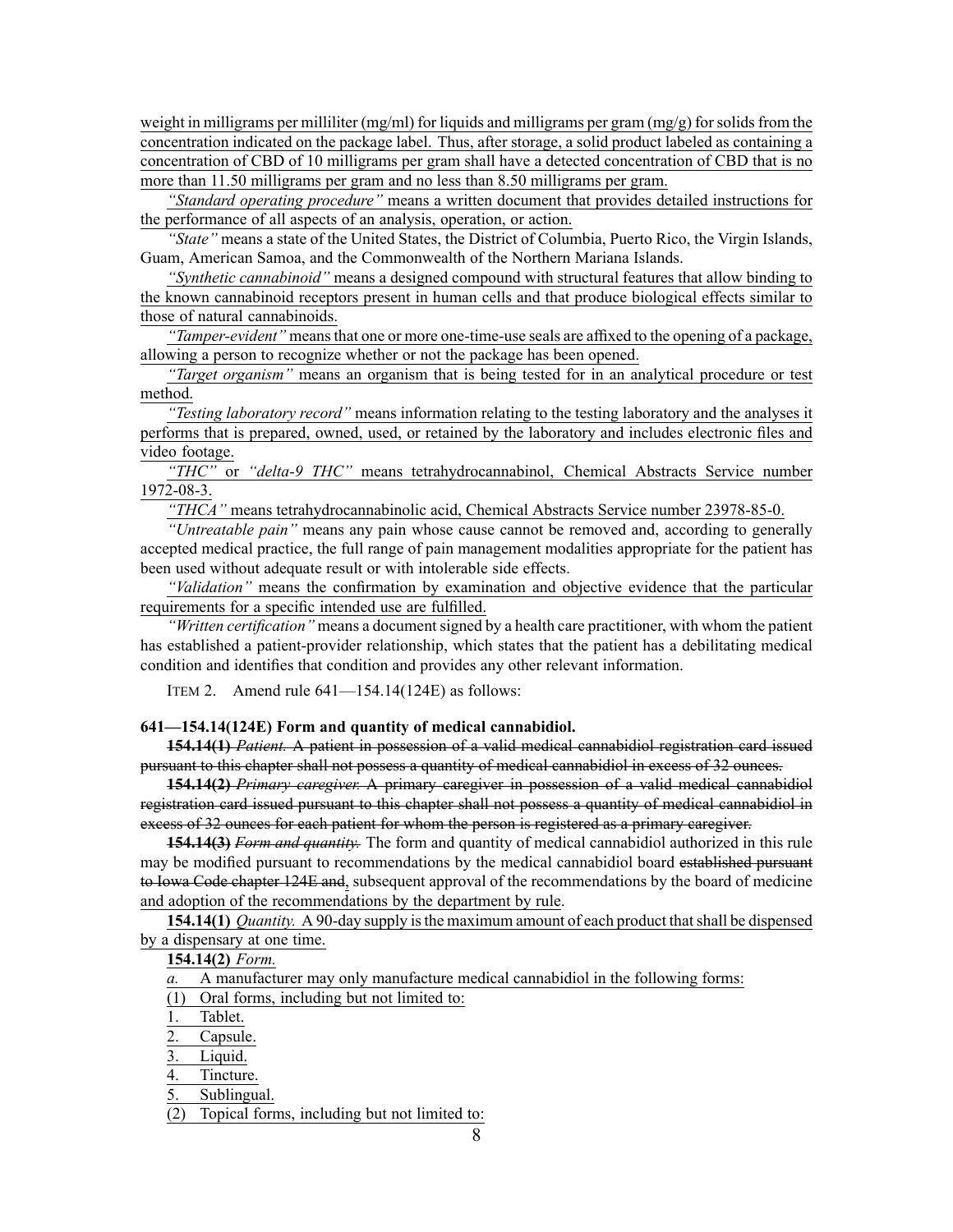weight in milligrams per milliliter (mg/ml) for liquids and milligrams per gram (mg/g) for solids from the concentration indicated on the package label. Thus, after storage, <sup>a</sup> solid product labeled as containing <sup>a</sup> concentration of CBD of 10 milligrams per gram shall have <sup>a</sup> detected concentration of CBD that is no more than 11.50 milligrams per gram and no less than 8.50 milligrams per gram.

*"Standard operating procedure"* means <sup>a</sup> written document that provides detailed instructions for the performance of all aspects of an analysis, operation, or action.

*"State"* means <sup>a</sup> state of the United States, the District of Columbia, Puerto Rico, the Virgin Islands, Guam, American Samoa, and the Commonwealth of the Northern Mariana Islands.

*"Synthetic cannabinoid"* means <sup>a</sup> designed compound with structural features that allow binding to the known cannabinoid receptors presen<sup>t</sup> in human cells and that produce biological effects similar to those of natural cannabinoids.

*"Tamper-evident"* means that one or more one-time-use seals are affixed to the opening of a package, allowing <sup>a</sup> person to recognize whether or not the package has been opened.

*"Target organism"* means an organism that is being tested for in an analytical procedure or test method.

*"Testing laboratory record"* means information relating to the testing laboratory and the analyses it performs that is prepared, owned, used, or retained by the laboratory and includes electronic files and video footage.

*"THC"* or *"delta-9 THC"* means tetrahydrocannabinol, Chemical Abstracts Service number 1972-08-3.

*"THCA"* means tetrahydrocannabinolic acid, Chemical Abstracts Service number 23978-85-0.

*"Untreatable pain"* means any pain whose cause cannot be removed and, according to generally accepted medical practice, the full range of pain managemen<sup>t</sup> modalities appropriate for the patient has been used without adequate result or with intolerable side effects.

*"Validation"* means the confirmation by examination and objective evidence that the particular requirements for <sup>a</sup> specific intended use are fulfilled.

*"Written certification"* means <sup>a</sup> documentsigned by <sup>a</sup> health care practitioner, with whom the patient has established <sup>a</sup> patient-provider relationship, which states that the patient has <sup>a</sup> debilitating medical condition and identifies that condition and provides any other relevant information.

ITEM 2. Amend rule 641—154.14(124E) as follows:

**641—154.14(124E) Form and quantity of medical cannabidiol.**

**154.14(1)** *Patient.* A patient in possession of <sup>a</sup> valid medical cannabidiol registration card issued pursuan<sup>t</sup> to this chapter shall not possess <sup>a</sup> quantity of medical cannabidiol in excess of 32 ounces.

**154.14(2)** *Primary caregiver.* A primary caregiver in possession of <sup>a</sup> valid medical cannabidiol registration card issued pursuan<sup>t</sup> to this chapter shall not possess <sup>a</sup> quantity of medical cannabidiol in excess of 32 ounces for each patient for whom the person is registered as <sup>a</sup> primary caregiver.

**154.14(3)** *Form and quantity.* The form and quantity of medical cannabidiol authorized in this rule may be modified pursuan<sup>t</sup> to recommendations by the medical cannabidiol board established pursuan<sup>t</sup> to Iowa Code chapter [124E](https://www.legis.iowa.gov/docs/ico/chapter/2018/124E.pdf) and, subsequent approval of the recommendations by the board of medicine and adoption of the recommendations by the department by rule.

**154.14(1)** *Quantity.* A 90-day supply isthe maximum amount of each product thatshall be dispensed by <sup>a</sup> dispensary at one time.

**154.14(2)** *Form.*

*a.* A manufacturer may only manufacture medical cannabidiol in the following forms:

(1) Oral forms, including but not limited to:

1. Tablet.

2. Capsule.

Liquid.

4. Tincture.

5. Sublingual.

(2) Topical forms, including but not limited to: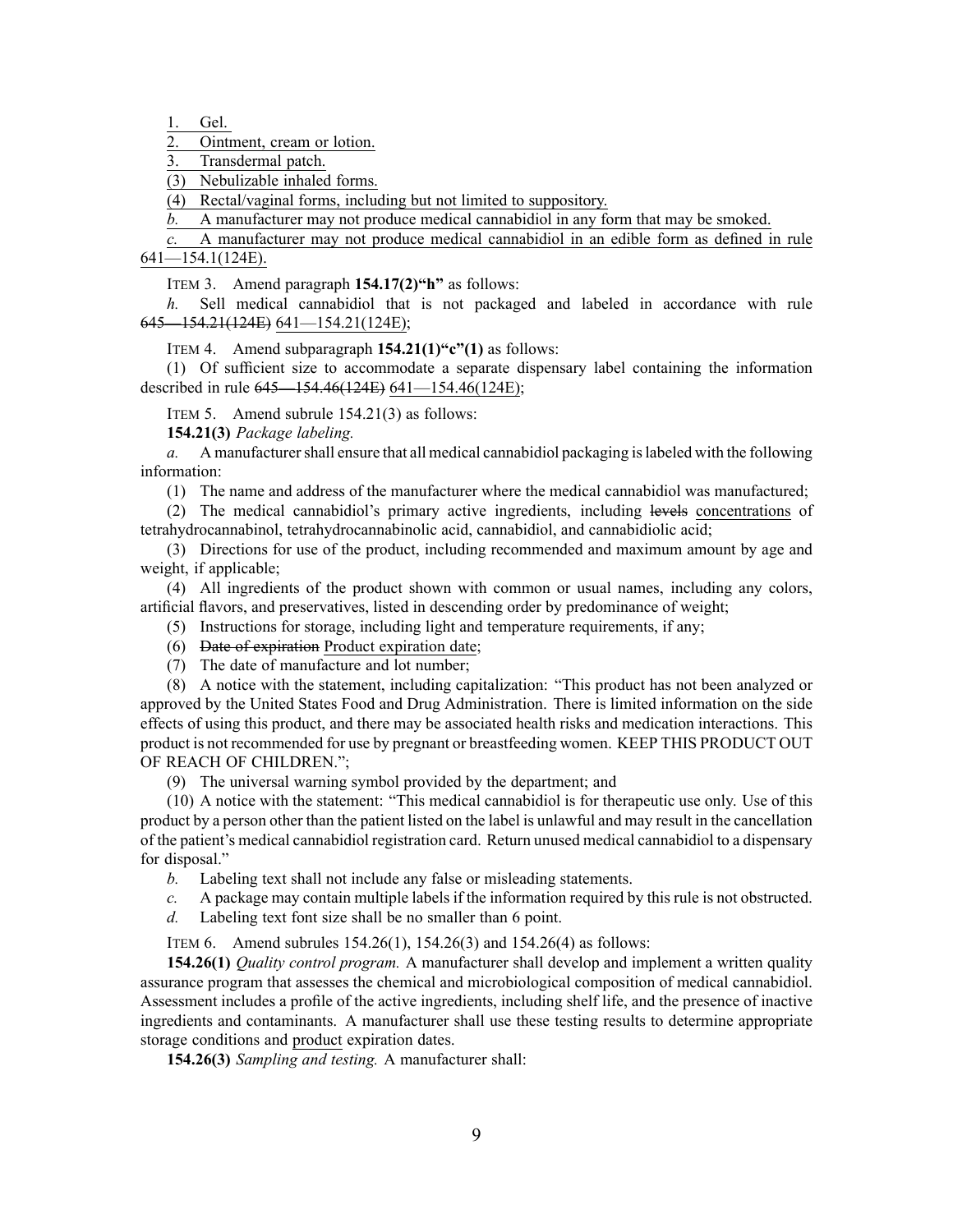1. Gel.

2. Ointment, cream or lotion.

Transdermal patch.

(3) Nebulizable inhaled forms.

(4) Rectal/vaginal forms, including but not limited to suppository.

*b.* A manufacturer may not produce medical cannabidiol in any form that may be smoked.

*c.* A manufacturer may not produce medical cannabidiol in an edible form as defined in rule 641—154.1(124E).

ITEM 3. Amend paragraph **154.17(2)"h"** as follows:

*h.* Sell medical cannabidiol that is not packaged and labeled in accordance with rule 645—154.21(124E) 641—154.21(124E);

ITEM 4. Amend subparagraph **154.21(1)"c"(1)** as follows:

(1) Of sufficient size to accommodate <sup>a</sup> separate dispensary label containing the information described in rule 645—154.46(124E) 641—154.46(124E);

ITEM 5. Amend subrule 154.21(3) as follows:

**154.21(3)** *Package labeling.*

*a.* A manufacturer shall ensure that all medical cannabidiol packaging is labeled with the following information:

(1) The name and address of the manufacturer where the medical cannabidiol was manufactured;

(2) The medical cannabidiol's primary active ingredients, including levels concentrations of tetrahydrocannabinol, tetrahydrocannabinolic acid, cannabidiol, and cannabidiolic acid;

(3) Directions for use of the product, including recommended and maximum amount by age and weight, if applicable;

(4) All ingredients of the product shown with common or usual names, including any colors, artificial flavors, and preservatives, listed in descending order by predominance of weight;

(5) Instructions for storage, including light and temperature requirements, if any;

(6) Date of expiration Product expiration date;

(7) The date of manufacture and lot number;

(8) A notice with the statement, including capitalization: "This product has not been analyzed or approved by the United States Food and Drug Administration. There is limited information on the side effects of using this product, and there may be associated health risks and medication interactions. This product is not recommended for use by pregnan<sup>t</sup> or breastfeeding women. KEEP THIS PRODUCT OUT OF REACH OF CHILDREN.";

(9) The universal warning symbol provided by the department; and

(10) A notice with the statement: "This medical cannabidiol is for therapeutic use only. Use of this product by <sup>a</sup> person other than the patient listed on the label is unlawful and may result in the cancellation of the patient's medical cannabidiol registration card. Return unused medical cannabidiol to <sup>a</sup> dispensary for disposal."

*b.* Labeling text shall not include any false or misleading statements.

*c.* A package may contain multiple labels if the information required by this rule is not obstructed.

*d.* Labeling text font size shall be no smaller than 6 point.

ITEM 6. Amend subrules 154.26(1), 154.26(3) and 154.26(4) as follows:

**154.26(1)** *Quality control program.* A manufacturer shall develop and implement <sup>a</sup> written quality assurance program that assesses the chemical and microbiological composition of medical cannabidiol. Assessment includes <sup>a</sup> profile of the active ingredients, including shelf life, and the presence of inactive ingredients and contaminants. A manufacturer shall use these testing results to determine appropriate storage conditions and product expiration dates.

**154.26(3)** *Sampling and testing.* A manufacturer shall: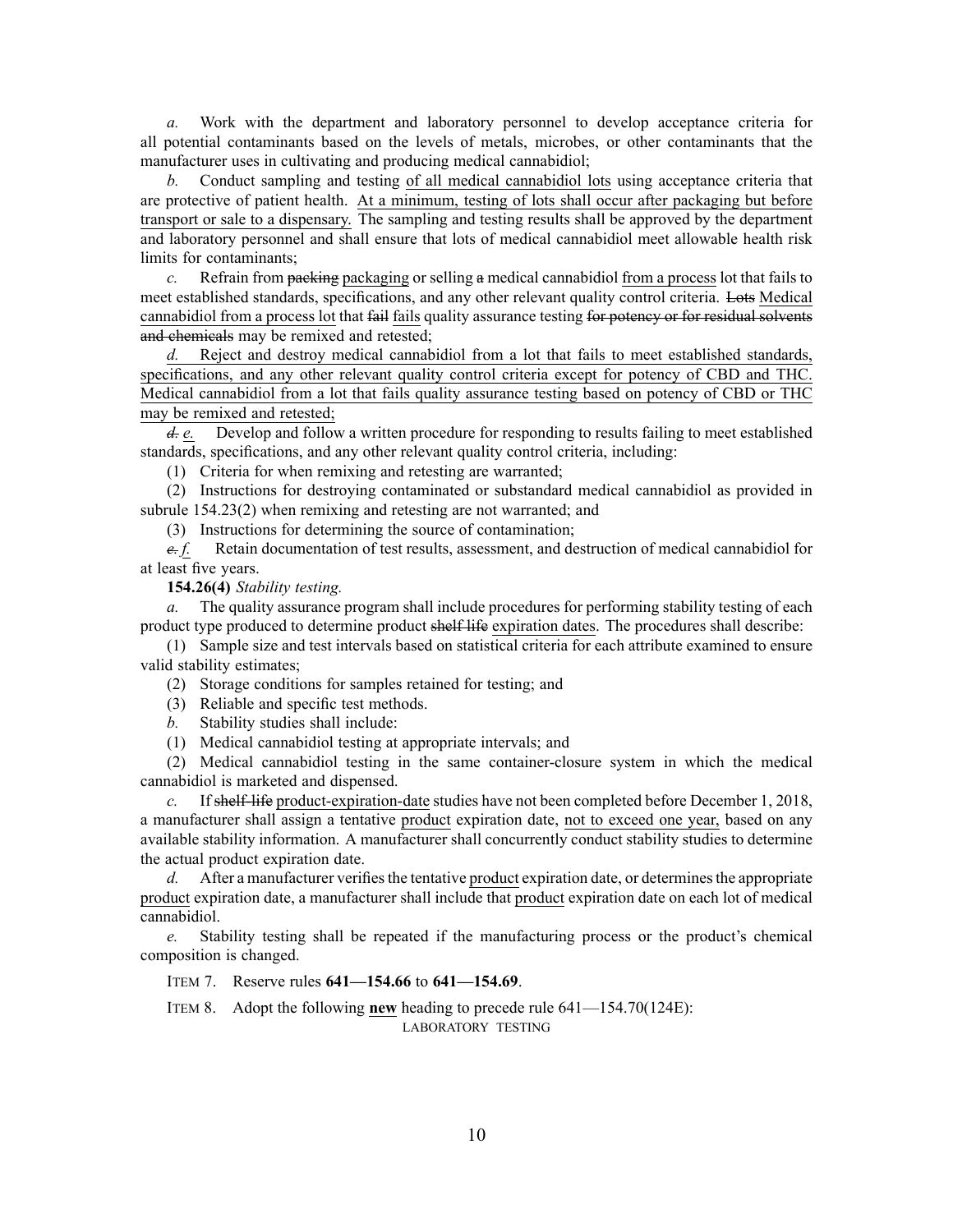*a.* Work with the department and laboratory personnel to develop acceptance criteria for all potential contaminants based on the levels of metals, microbes, or other contaminants that the manufacturer uses in cultivating and producing medical cannabidiol;

*b.* Conduct sampling and testing of all medical cannabidiol lots using acceptance criteria that are protective of patient health. At <sup>a</sup> minimum, testing of lots shall occur after packaging but before transport or sale to <sup>a</sup> dispensary. The sampling and testing results shall be approved by the department and laboratory personnel and shall ensure that lots of medical cannabidiol meet allowable health risk limits for contaminants;

*c.* Refrain from packing packaging or selling <sup>a</sup> medical cannabidiol from <sup>a</sup> process lot that fails to meet established standards, specifications, and any other relevant quality control criteria. Lots Medical cannabidiol from <sup>a</sup> process lot that fail fails quality assurance testing for potency or for residual solvents and chemicals may be remixed and retested;

*d.* Reject and destroy medical cannabidiol from <sup>a</sup> lot that fails to meet established standards, specifications, and any other relevant quality control criteria excep<sup>t</sup> for potency of CBD and THC. Medical cannabidiol from <sup>a</sup> lot that fails quality assurance testing based on potency of CBD or THC may be remixed and retested;

*d. e.* Develop and follow <sup>a</sup> written procedure for responding to results failing to meet established standards, specifications, and any other relevant quality control criteria, including:

(1) Criteria for when remixing and retesting are warranted;

(2) Instructions for destroying contaminated or substandard medical cannabidiol as provided in subrule 154.23(2) when remixing and retesting are not warranted; and

(3) Instructions for determining the source of contamination;

*e. f.* Retain documentation of test results, assessment, and destruction of medical cannabidiol for at least five years.

**154.26(4)** *Stability testing.*

*a.* The quality assurance program shall include procedures for performing stability testing of each product type produced to determine product shelf life expiration dates. The procedures shall describe:

(1) Sample size and test intervals based on statistical criteria for each attribute examined to ensure valid stability estimates;

(2) Storage conditions for samples retained for testing; and

- (3) Reliable and specific test methods.
- *b.* Stability studies shall include:

(1) Medical cannabidiol testing at appropriate intervals; and

(2) Medical cannabidiol testing in the same container-closure system in which the medical cannabidiol is marketed and dispensed.

*c.* If shelf-life product-expiration-date studies have not been completed before December 1, 2018, <sup>a</sup> manufacturer shall assign <sup>a</sup> tentative product expiration date, not to exceed one year, based on any available stability information. A manufacturer shall concurrently conduct stability studies to determine the actual product expiration date.

*d.* After a manufacturer verifies the tentative product expiration date, or determines the appropriate product expiration date, <sup>a</sup> manufacturer shall include that product expiration date on each lot of medical cannabidiol.

*e.* Stability testing shall be repeated if the manufacturing process or the product's chemical composition is changed.

ITEM 7. Reserve rules **641—154.66** to **641—154.69**.

ITEM 8. Adopt the following **new** heading to precede rule 641—154.70(124E):

LABORATORY TESTING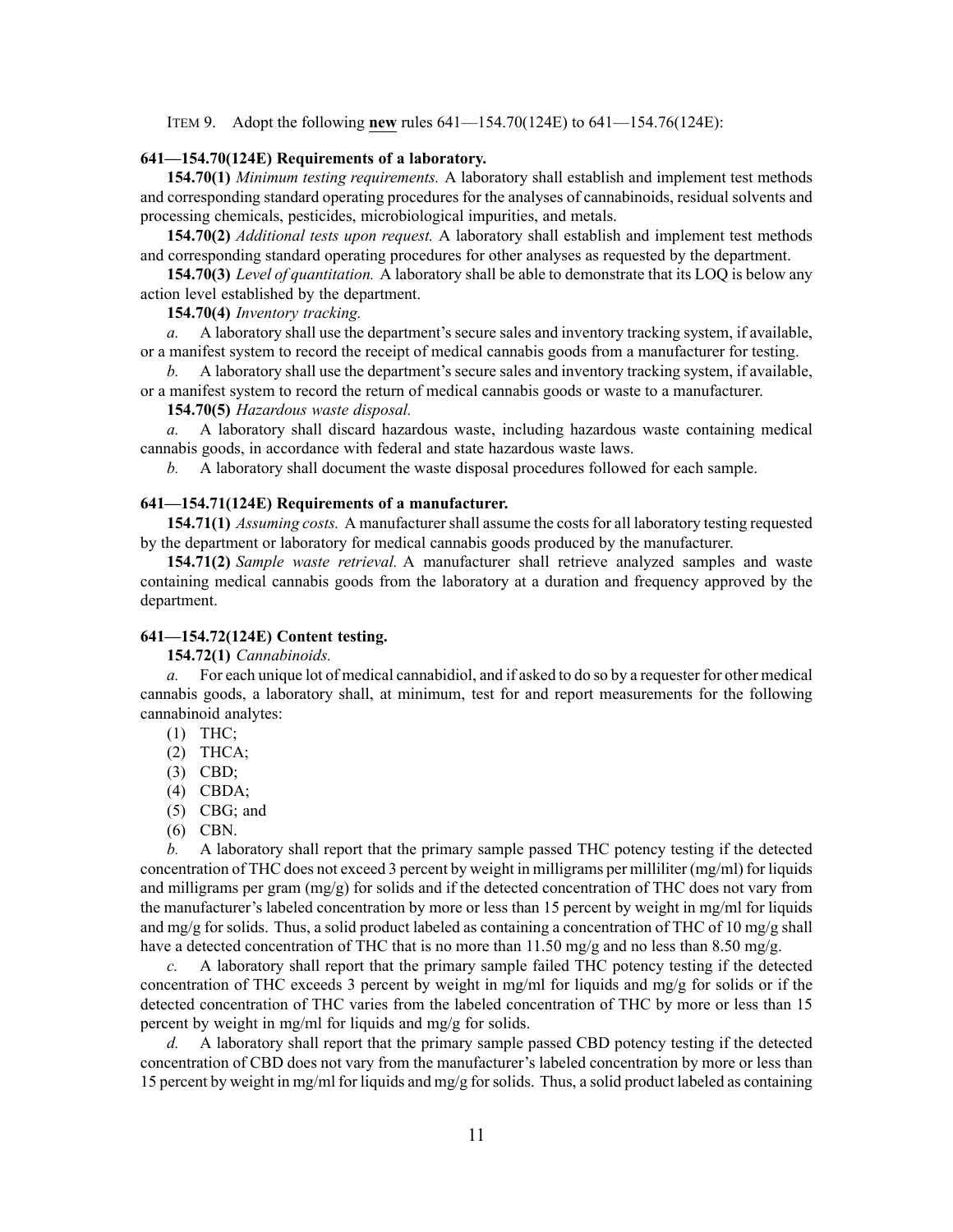ITEM 9. Adopt the following **new** rules 641—154.70(124E) to 641—154.76(124E):

#### **641—154.70(124E) Requirements of <sup>a</sup> laboratory.**

**154.70(1)** *Minimum testing requirements.* A laboratory shall establish and implement test methods and corresponding standard operating procedures for the analyses of cannabinoids, residual solvents and processing chemicals, pesticides, microbiological impurities, and metals.

**154.70(2)** *Additional tests upon request.* A laboratory shall establish and implement test methods and corresponding standard operating procedures for other analyses as requested by the department.

**154.70(3)** *Level of quantitation.* A laboratory shall be able to demonstrate that its LOQ is below any action level established by the department.

# **154.70(4)** *Inventory tracking.*

*a.* A laboratory shall use the department's secure sales and inventory tracking system, if available, or <sup>a</sup> manifest system to record the receipt of medical cannabis goods from <sup>a</sup> manufacturer for testing.

*b.* A laboratory shall use the department's secure sales and inventory tracking system, if available, or <sup>a</sup> manifest system to record the return of medical cannabis goods or waste to <sup>a</sup> manufacturer.

# **154.70(5)** *Hazardous waste disposal.*

*a.* A laboratory shall discard hazardous waste, including hazardous waste containing medical cannabis goods, in accordance with federal and state hazardous waste laws.

*b.* A laboratory shall document the waste disposal procedures followed for each sample.

#### **641—154.71(124E) Requirements of <sup>a</sup> manufacturer.**

**154.71(1)** *Assuming costs.* A manufacturer shall assume the costs for all laboratory testing requested by the department or laboratory for medical cannabis goods produced by the manufacturer.

**154.71(2)** *Sample waste retrieval.* A manufacturer shall retrieve analyzed samples and waste containing medical cannabis goods from the laboratory at <sup>a</sup> duration and frequency approved by the department.

## **641—154.72(124E) Content testing.**

**154.72(1)** *Cannabinoids.*

*a.* For each unique lot of medical cannabidiol, and if asked to do so by <sup>a</sup> requester for other medical cannabis goods, <sup>a</sup> laboratory shall, at minimum, test for and repor<sup>t</sup> measurements for the following cannabinoid analytes:

- (1) THC;
- (2) THCA;
- (3) CBD;
- (4) CBDA;
- (5) CBG; and
- (6) CBN.

*b.* A laboratory shall repor<sup>t</sup> that the primary sample passed THC potency testing if the detected concentration of THC does not exceed 3 percen<sup>t</sup> by weight in milligrams per milliliter (mg/ml) for liquids and milligrams per gram (mg/g) for solids and if the detected concentration of THC does not vary from the manufacturer's labeled concentration by more or less than 15 percen<sup>t</sup> by weight in mg/ml for liquids and mg/g for solids. Thus, a solid product labeled as containing a concentration of THC of 10 mg/g shall have a detected concentration of THC that is no more than 11.50 mg/g and no less than 8.50 mg/g.

*c.* A laboratory shall repor<sup>t</sup> that the primary sample failed THC potency testing if the detected concentration of THC exceeds 3 percent by weight in mg/ml for liquids and mg/g for solids or if the detected concentration of THC varies from the labeled concentration of THC by more or less than 15 percen<sup>t</sup> by weight in mg/ml for liquids and mg/g for solids.

*d.* A laboratory shall repor<sup>t</sup> that the primary sample passed CBD potency testing if the detected concentration of CBD does not vary from the manufacturer's labeled concentration by more or less than 15 percen<sup>t</sup> by weight in mg/ml for liquids and mg/g forsolids. Thus, <sup>a</sup> solid product labeled as containing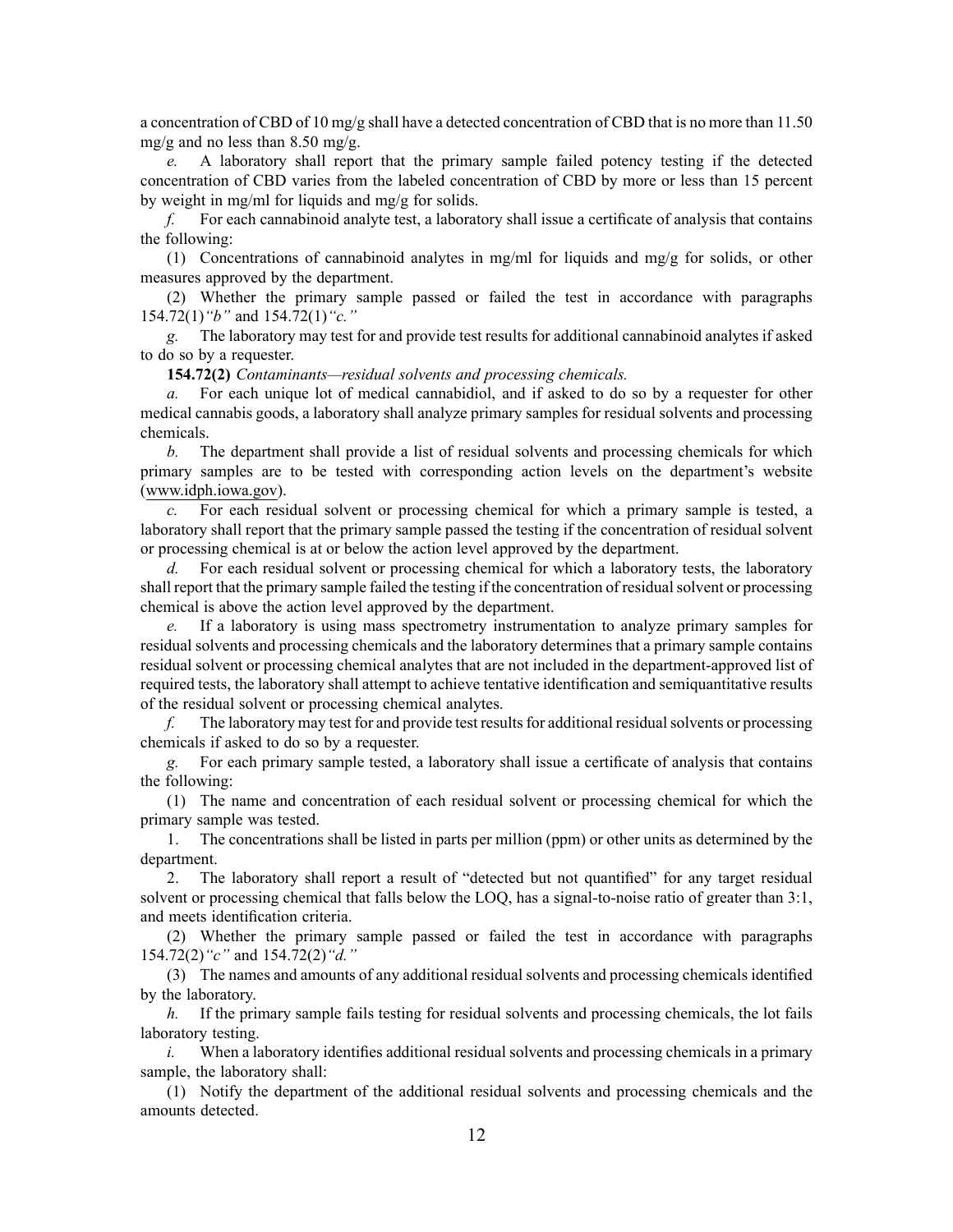<sup>a</sup> concentration of CBD of 10 mg/g shall have <sup>a</sup> detected concentration of CBD that is no more than 11.50 mg/g and no less than  $8.50$  mg/g.

*e.* A laboratory shall repor<sup>t</sup> that the primary sample failed potency testing if the detected concentration of CBD varies from the labeled concentration of CBD by more or less than 15 percen<sup>t</sup> by weight in mg/ml for liquids and mg/g for solids.

*f.* For each cannabinoid analyte test, <sup>a</sup> laboratory shall issue <sup>a</sup> certificate of analysis that contains the following:

(1) Concentrations of cannabinoid analytes in mg/ml for liquids and mg/g for solids, or other measures approved by the department.

(2) Whether the primary sample passed or failed the test in accordance with paragraphs 154.72(1)*"b"* and 154.72(1)*"c."*

*g.* The laboratory may test for and provide test results for additional cannabinoid analytes if asked to do so by <sup>a</sup> requester.

**154.72(2)** *Contaminants—residual solvents and processing chemicals.*

*a.* For each unique lot of medical cannabidiol, and if asked to do so by <sup>a</sup> requester for other medical cannabis goods, <sup>a</sup> laboratory shall analyze primary samples for residual solvents and processing chemicals.

*b.* The department shall provide <sup>a</sup> list of residual solvents and processing chemicals for which primary samples are to be tested with corresponding action levels on the department's website ([www.idph.iowa.gov](http://www.idph.iowa.gov)).

*c.* For each residual solvent or processing chemical for which <sup>a</sup> primary sample is tested, <sup>a</sup> laboratory shall repor<sup>t</sup> that the primary sample passed the testing if the concentration of residual solvent or processing chemical is at or below the action level approved by the department.

*d.* For each residual solvent or processing chemical for which <sup>a</sup> laboratory tests, the laboratory shall report that the primary sample failed the testing if the concentration of residual solvent or processing chemical is above the action level approved by the department.

*e.* If <sup>a</sup> laboratory is using mass spectrometry instrumentation to analyze primary samples for residual solvents and processing chemicals and the laboratory determines that <sup>a</sup> primary sample contains residual solvent or processing chemical analytes that are not included in the department-approved list of required tests, the laboratory shall attempt to achieve tentative identification and semiquantitative results of the residual solvent or processing chemical analytes.

*f.* The laboratory may test for and provide test results for additional residual solvents or processing chemicals if asked to do so by <sup>a</sup> requester.

*g.* For each primary sample tested, <sup>a</sup> laboratory shall issue <sup>a</sup> certificate of analysis that contains the following:

(1) The name and concentration of each residual solvent or processing chemical for which the primary sample was tested.

1. The concentrations shall be listed in parts per million (ppm) or other units as determined by the department.

2. The laboratory shall repor<sup>t</sup> <sup>a</sup> result of "detected but not quantified" for any target residual solvent or processing chemical that falls below the LOQ, has <sup>a</sup> signal-to-noise ratio of greater than 3:1, and meets identification criteria.

(2) Whether the primary sample passed or failed the test in accordance with paragraphs 154.72(2)*"c"* and 154.72(2)*"d."*

(3) The names and amounts of any additional residual solvents and processing chemicals identified by the laboratory.

*h.* If the primary sample fails testing for residual solvents and processing chemicals, the lot fails laboratory testing.

*i.* When a laboratory identifies additional residual solvents and processing chemicals in a primary sample, the laboratory shall:

(1) Notify the department of the additional residual solvents and processing chemicals and the amounts detected.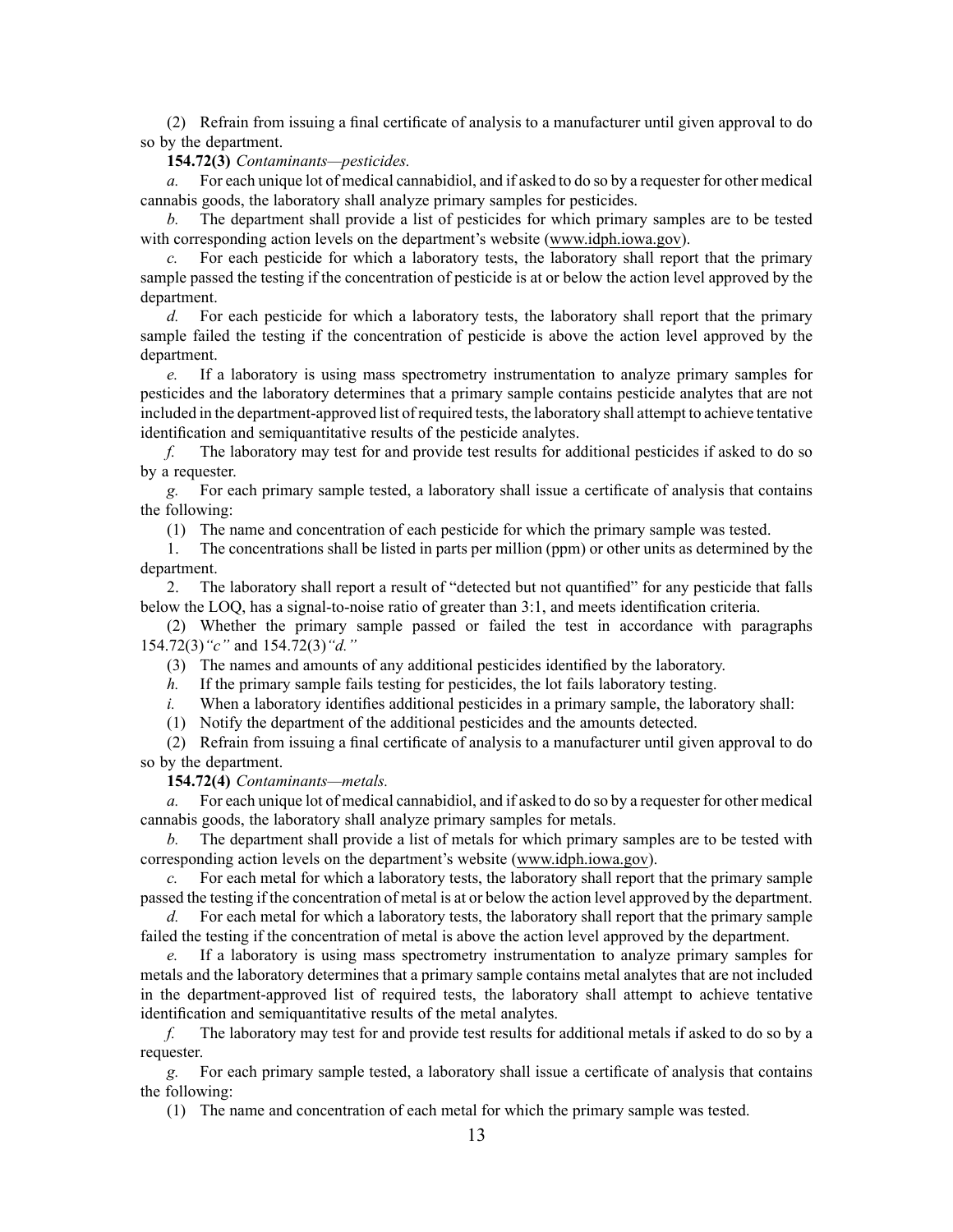(2) Refrain from issuing <sup>a</sup> final certificate of analysis to <sup>a</sup> manufacturer until given approval to do so by the department.

#### **154.72(3)** *Contaminants—pesticides.*

*a.* For each unique lot of medical cannabidiol, and if asked to do so by <sup>a</sup> requester for other medical cannabis goods, the laboratory shall analyze primary samples for pesticides.

*b.* The department shall provide <sup>a</sup> list of pesticides for which primary samples are to be tested with corresponding action levels on the department's website [\(www.idph.iowa.gov\)](http://www.idph.iowa.gov).

For each pesticide for which a laboratory tests, the laboratory shall report that the primary sample passed the testing if the concentration of pesticide is at or below the action level approved by the department.

*d.* For each pesticide for which a laboratory tests, the laboratory shall report that the primary sample failed the testing if the concentration of pesticide is above the action level approved by the department.

*e.* If <sup>a</sup> laboratory is using mass spectrometry instrumentation to analyze primary samples for pesticides and the laboratory determines that <sup>a</sup> primary sample contains pesticide analytes that are not included in the department-approved list of required tests, the laboratory shall attempt to achieve tentative identification and semiquantitative results of the pesticide analytes.

*f.* The laboratory may test for and provide test results for additional pesticides if asked to do so by <sup>a</sup> requester.

*g.* For each primary sample tested, <sup>a</sup> laboratory shall issue <sup>a</sup> certificate of analysis that contains the following:

(1) The name and concentration of each pesticide for which the primary sample was tested.

1. The concentrations shall be listed in parts per million (ppm) or other units as determined by the department.

2. The laboratory shall repor<sup>t</sup> <sup>a</sup> result of "detected but not quantified" for any pesticide that falls below the LOQ, has <sup>a</sup> signal-to-noise ratio of greater than 3:1, and meets identification criteria.

(2) Whether the primary sample passed or failed the test in accordance with paragraphs 154.72(3)*"c"* and 154.72(3)*"d."*

(3) The names and amounts of any additional pesticides identified by the laboratory.

*h.* If the primary sample fails testing for pesticides, the lot fails laboratory testing.

*i.* When a laboratory identifies additional pesticides in a primary sample, the laboratory shall:

(1) Notify the department of the additional pesticides and the amounts detected.

(2) Refrain from issuing <sup>a</sup> final certificate of analysis to <sup>a</sup> manufacturer until given approval to do so by the department.

**154.72(4)** *Contaminants—metals.*

*a.* For each unique lot of medical cannabidiol, and if asked to do so by <sup>a</sup> requester for other medical cannabis goods, the laboratory shall analyze primary samples for metals.

*b.* The department shall provide <sup>a</sup> list of metals for which primary samples are to be tested with corresponding action levels on the department's website ([www.idph.iowa.gov\)](http://www.idph.iowa.gov).

*c.* For each metal for which <sup>a</sup> laboratory tests, the laboratory shall repor<sup>t</sup> that the primary sample passed the testing if the concentration of metal is at or below the action level approved by the department.

*d.* For each metal for which <sup>a</sup> laboratory tests, the laboratory shall repor<sup>t</sup> that the primary sample failed the testing if the concentration of metal is above the action level approved by the department.

*e.* If <sup>a</sup> laboratory is using mass spectrometry instrumentation to analyze primary samples for metals and the laboratory determines that <sup>a</sup> primary sample contains metal analytes that are not included in the department-approved list of required tests, the laboratory shall attempt to achieve tentative identification and semiquantitative results of the metal analytes.

*f.* The laboratory may test for and provide test results for additional metals if asked to do so by <sup>a</sup> requester.

*g.* For each primary sample tested, <sup>a</sup> laboratory shall issue <sup>a</sup> certificate of analysis that contains the following:

(1) The name and concentration of each metal for which the primary sample was tested.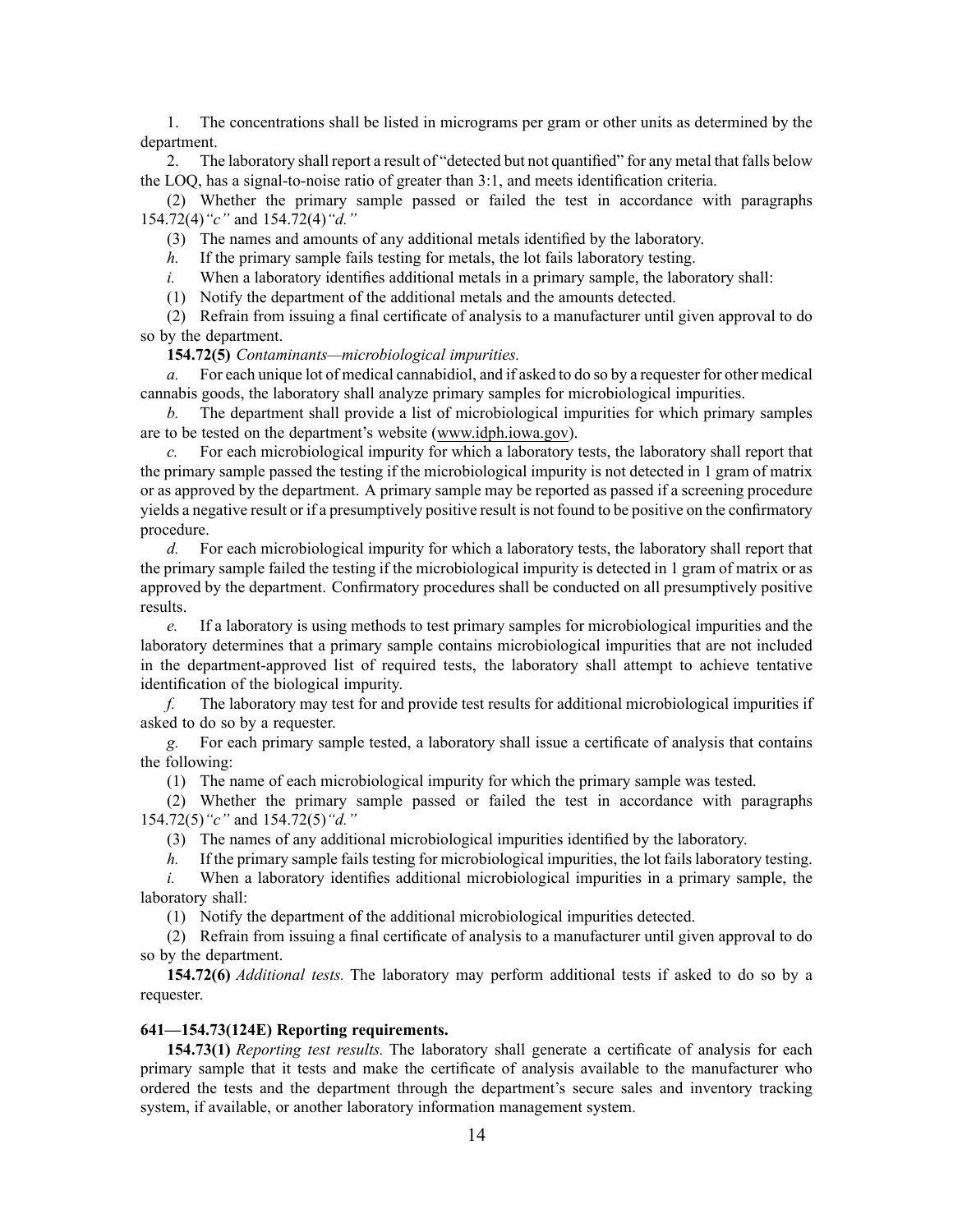1. The concentrations shall be listed in micrograms per gram or other units as determined by the department.

2. The laboratory shall repor<sup>t</sup> <sup>a</sup> result of "detected but not quantified" for any metal that falls below the LOQ, has <sup>a</sup> signal-to-noise ratio of greater than 3:1, and meets identification criteria.

(2) Whether the primary sample passed or failed the test in accordance with paragraphs 154.72(4)*"c"* and 154.72(4)*"d."*

(3) The names and amounts of any additional metals identified by the laboratory.

*h.* If the primary sample fails testing for metals, the lot fails laboratory testing.

*i.* When a laboratory identifies additional metals in a primary sample, the laboratory shall:

(1) Notify the department of the additional metals and the amounts detected.

(2) Refrain from issuing <sup>a</sup> final certificate of analysis to <sup>a</sup> manufacturer until given approval to do so by the department.

**154.72(5)** *Contaminants—microbiological impurities.*

*a.* For each unique lot of medical cannabidiol, and if asked to do so by <sup>a</sup> requester for other medical cannabis goods, the laboratory shall analyze primary samples for microbiological impurities.

*b.* The department shall provide <sup>a</sup> list of microbiological impurities for which primary samples are to be tested on the department's website ([www.idph.iowa.gov](http://www.idph.iowa.gov)).

*c.* For each microbiological impurity for which <sup>a</sup> laboratory tests, the laboratory shall repor<sup>t</sup> that the primary sample passed the testing if the microbiological impurity is not detected in 1 gram of matrix or as approved by the department. A primary sample may be reported as passed if <sup>a</sup> screening procedure yields <sup>a</sup> negative result or if <sup>a</sup> presumptively positive result is not found to be positive on the confirmatory procedure.

*d.* For each microbiological impurity for which <sup>a</sup> laboratory tests, the laboratory shall repor<sup>t</sup> that the primary sample failed the testing if the microbiological impurity is detected in 1 gram of matrix or as approved by the department. Confirmatory procedures shall be conducted on all presumptively positive results.

*e.* If <sup>a</sup> laboratory is using methods to test primary samples for microbiological impurities and the laboratory determines that <sup>a</sup> primary sample contains microbiological impurities that are not included in the department-approved list of required tests, the laboratory shall attempt to achieve tentative identification of the biological impurity.

*f.* The laboratory may test for and provide test results for additional microbiological impurities if asked to do so by <sup>a</sup> requester.

*g.* For each primary sample tested, <sup>a</sup> laboratory shall issue <sup>a</sup> certificate of analysis that contains the following:

(1) The name of each microbiological impurity for which the primary sample was tested.

(2) Whether the primary sample passed or failed the test in accordance with paragraphs 154.72(5)*"c"* and 154.72(5)*"d."*

(3) The names of any additional microbiological impurities identified by the laboratory.

*h.* If the primary sample fails testing for microbiological impurities, the lot fails laboratory testing.

*i.* When <sup>a</sup> laboratory identifies additional microbiological impurities in <sup>a</sup> primary sample, the laboratory shall:

(1) Notify the department of the additional microbiological impurities detected.

(2) Refrain from issuing <sup>a</sup> final certificate of analysis to <sup>a</sup> manufacturer until given approval to do so by the department.

**154.72(6)** *Additional tests.* The laboratory may perform additional tests if asked to do so by <sup>a</sup> requester.

#### **641—154.73(124E) Reporting requirements.**

**154.73(1)** *Reporting test results.* The laboratory shall generate <sup>a</sup> certificate of analysis for each primary sample that it tests and make the certificate of analysis available to the manufacturer who ordered the tests and the department through the department's secure sales and inventory tracking system, if available, or another laboratory information managemen<sup>t</sup> system.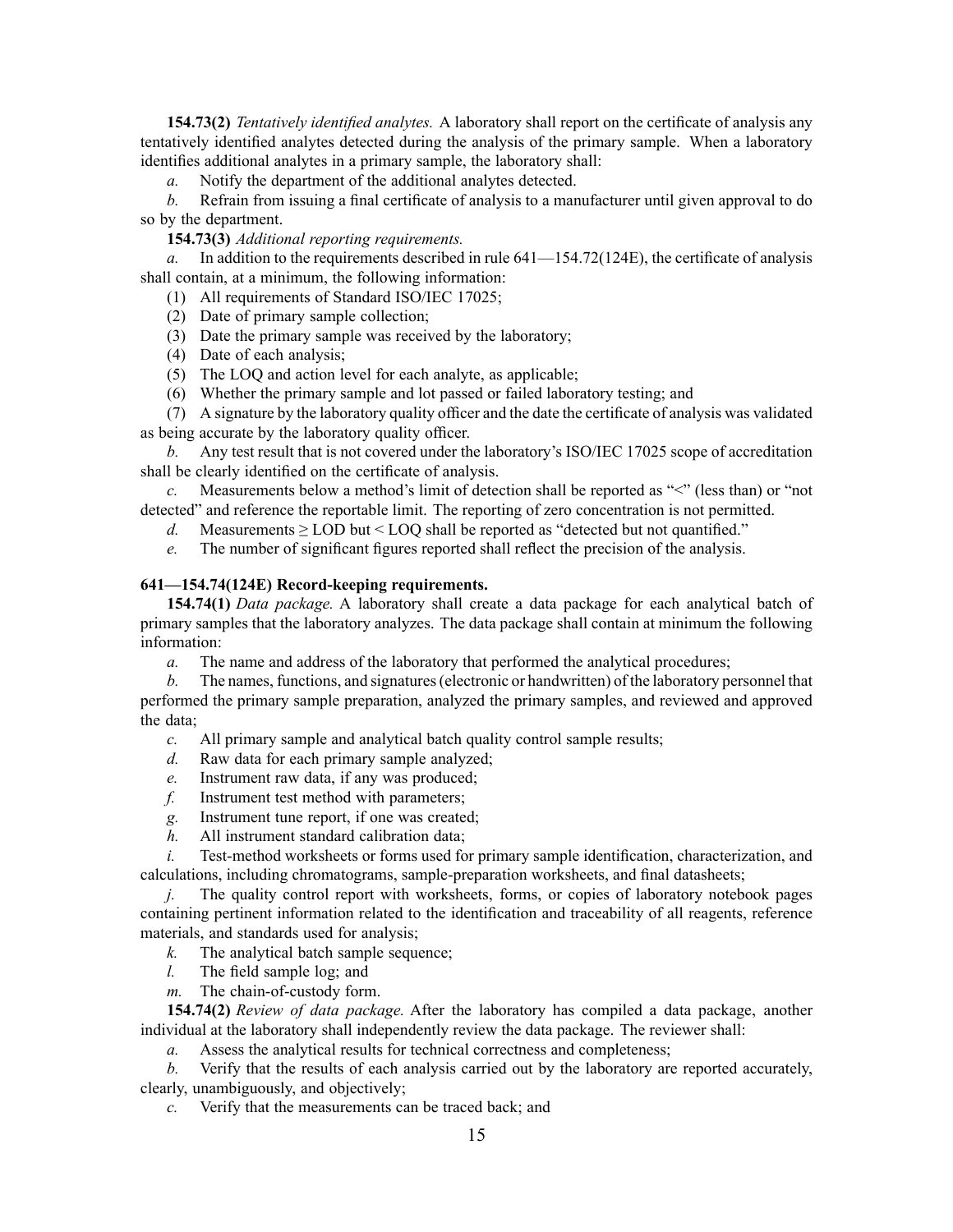**154.73(2)** *Tentatively identified analytes.* A laboratory shall repor<sup>t</sup> on the certificate of analysis any tentatively identified analytes detected during the analysis of the primary sample. When <sup>a</sup> laboratory identifies additional analytes in <sup>a</sup> primary sample, the laboratory shall:

*a.* Notify the department of the additional analytes detected.

*b.* Refrain from issuing <sup>a</sup> final certificate of analysis to <sup>a</sup> manufacturer until given approval to do so by the department.

### **154.73(3)** *Additional reporting requirements.*

*a.* In addition to the requirements described in rule 641—154.72(124E), the certificate of analysis shall contain, at <sup>a</sup> minimum, the following information:

- (1) All requirements of Standard ISO/IEC 17025;
- (2) Date of primary sample collection;
- (3) Date the primary sample was received by the laboratory;
- (4) Date of each analysis;
- (5) The LOQ and action level for each analyte, as applicable;
- (6) Whether the primary sample and lot passed or failed laboratory testing; and

(7) A signature by the laboratory quality officer and the date the certificate of analysis was validated as being accurate by the laboratory quality officer.

*b.* Any test result that is not covered under the laboratory's ISO/IEC 17025 scope of accreditation shall be clearly identified on the certificate of analysis.

*c.* Measurements below a method's limit of detection shall be reported as "<" (less than) or "not detected" and reference the reportable limit. The reporting of zero concentration is not permitted.

*d.* Measurements > LOD but < LOO shall be reported as "detected but not quantified."

*e.* The number of significant figures reported shall reflect the precision of the analysis.

# **641—154.74(124E) Record-keeping requirements.**

**154.74(1)** *Data package.* A laboratory shall create <sup>a</sup> data package for each analytical batch of primary samples that the laboratory analyzes. The data package shall contain at minimum the following information:

*a.* The name and address of the laboratory that performed the analytical procedures;

*b.* The names, functions, and signatures (electronic or handwritten) of the laboratory personnel that performed the primary sample preparation, analyzed the primary samples, and reviewed and approved the data;

*c.* All primary sample and analytical batch quality control sample results;

- *d.* Raw data for each primary sample analyzed;
- *e.* Instrument raw data, if any was produced;
- *f.* Instrument test method with parameters;
- *g.* Instrument tune report, if one was created;
- *h.* All instrument standard calibration data;

*i.* Test-method worksheets or forms used for primary sample identification, characterization, and calculations, including chromatograms, sample-preparation worksheets, and final datasheets;

*j.* The quality control report with worksheets, forms, or copies of laboratory notebook pages containing pertinent information related to the identification and traceability of all reagents, reference materials, and standards used for analysis;

- *k.* The analytical batch sample sequence;
- *l.* The field sample log; and
- *m.* The chain-of-custody form.

**154.74(2)** *Review of data package.* After the laboratory has compiled <sup>a</sup> data package, another individual at the laboratory shall independently review the data package. The reviewer shall:

*a.* Assess the analytical results for technical correctness and completeness;

*b.* Verify that the results of each analysis carried out by the laboratory are reported accurately, clearly, unambiguously, and objectively;

*c.* Verify that the measurements can be traced back; and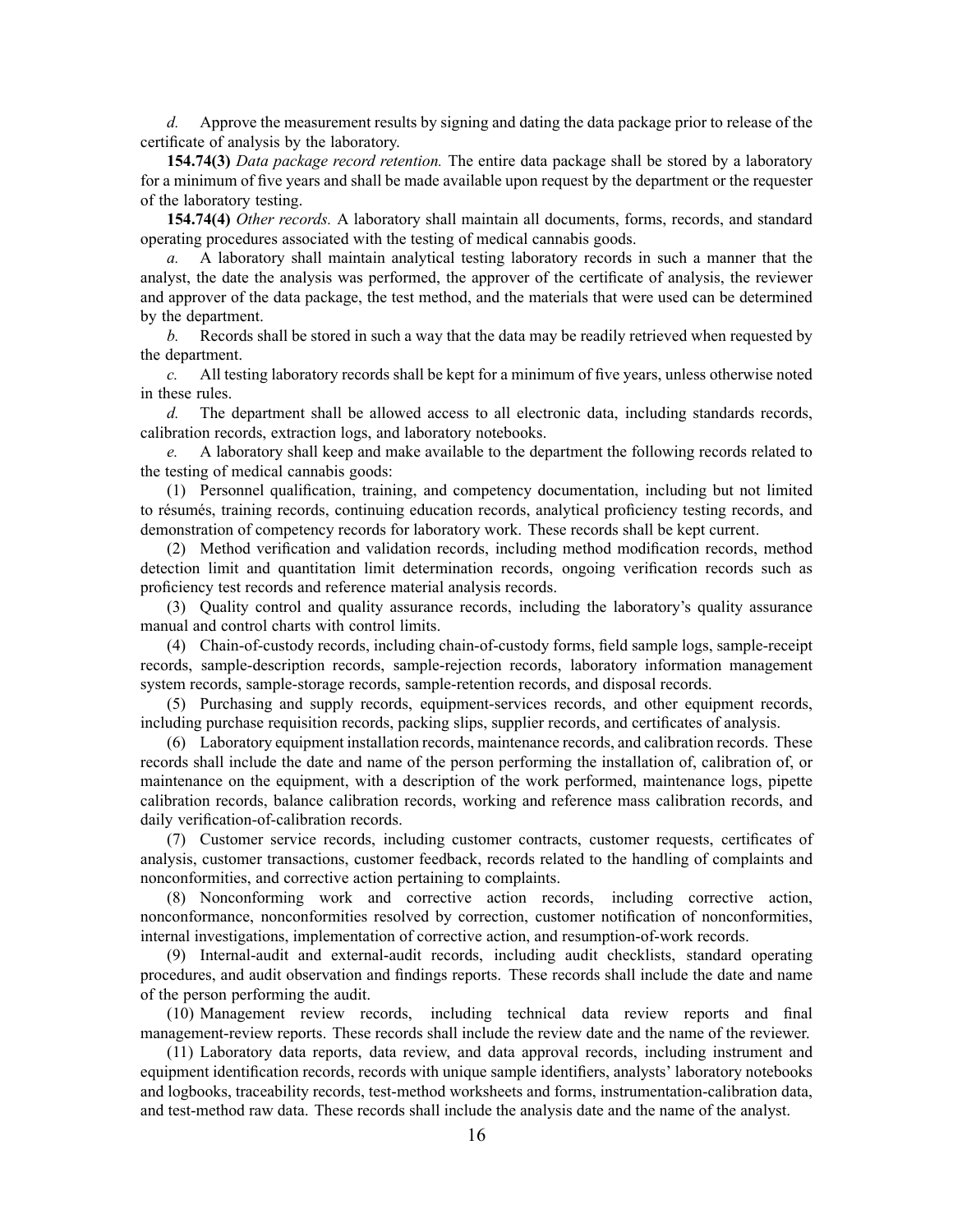*d.* Approve the measurement results by signing and dating the data package prior to release of the certificate of analysis by the laboratory.

**154.74(3)** *Data package record retention.* The entire data package shall be stored by <sup>a</sup> laboratory for <sup>a</sup> minimum of five years and shall be made available upon reques<sup>t</sup> by the department or the requester of the laboratory testing.

**154.74(4)** *Other records.* A laboratory shall maintain all documents, forms, records, and standard operating procedures associated with the testing of medical cannabis goods.

*a.* A laboratory shall maintain analytical testing laboratory records in such <sup>a</sup> manner that the analyst, the date the analysis was performed, the approver of the certificate of analysis, the reviewer and approver of the data package, the test method, and the materials that were used can be determined by the department.

*b.* Records shall be stored in such <sup>a</sup> way that the data may be readily retrieved when requested by the department.

*c.* All testing laboratory records shall be kept for <sup>a</sup> minimum of five years, unless otherwise noted in these rules.

*d.* The department shall be allowed access to all electronic data, including standards records, calibration records, extraction logs, and laboratory notebooks.

*e.* A laboratory shall keep and make available to the department the following records related to the testing of medical cannabis goods:

(1) Personnel qualification, training, and competency documentation, including but not limited to résumés, training records, continuing education records, analytical proficiency testing records, and demonstration of competency records for laboratory work. These records shall be kept current.

(2) Method verification and validation records, including method modification records, method detection limit and quantitation limit determination records, ongoing verification records such as proficiency test records and reference material analysis records.

(3) Quality control and quality assurance records, including the laboratory's quality assurance manual and control charts with control limits.

(4) Chain-of-custody records, including chain-of-custody forms, field sample logs, sample-receipt records, sample-description records, sample-rejection records, laboratory information managemen<sup>t</sup> system records, sample-storage records, sample-retention records, and disposal records.

(5) Purchasing and supply records, equipment-services records, and other equipment records, including purchase requisition records, packing slips, supplier records, and certificates of analysis.

(6) Laboratory equipment installation records, maintenance records, and calibration records. These records shall include the date and name of the person performing the installation of, calibration of, or maintenance on the equipment, with <sup>a</sup> description of the work performed, maintenance logs, pipette calibration records, balance calibration records, working and reference mass calibration records, and daily verification-of-calibration records.

(7) Customer service records, including customer contracts, customer requests, certificates of analysis, customer transactions, customer feedback, records related to the handling of complaints and nonconformities, and corrective action pertaining to complaints.

(8) Nonconforming work and corrective action records, including corrective action, nonconformance, nonconformities resolved by correction, customer notification of nonconformities, internal investigations, implementation of corrective action, and resumption-of-work records.

(9) Internal-audit and external-audit records, including audit checklists, standard operating procedures, and audit observation and findings reports. These records shall include the date and name of the person performing the audit.

(10) Management review records, including technical data review reports and final management-review reports. These records shall include the review date and the name of the reviewer.

(11) Laboratory data reports, data review, and data approval records, including instrument and equipment identification records, records with unique sample identifiers, analysts' laboratory notebooks and logbooks, traceability records, test-method worksheets and forms, instrumentation-calibration data, and test-method raw data. These records shall include the analysis date and the name of the analyst.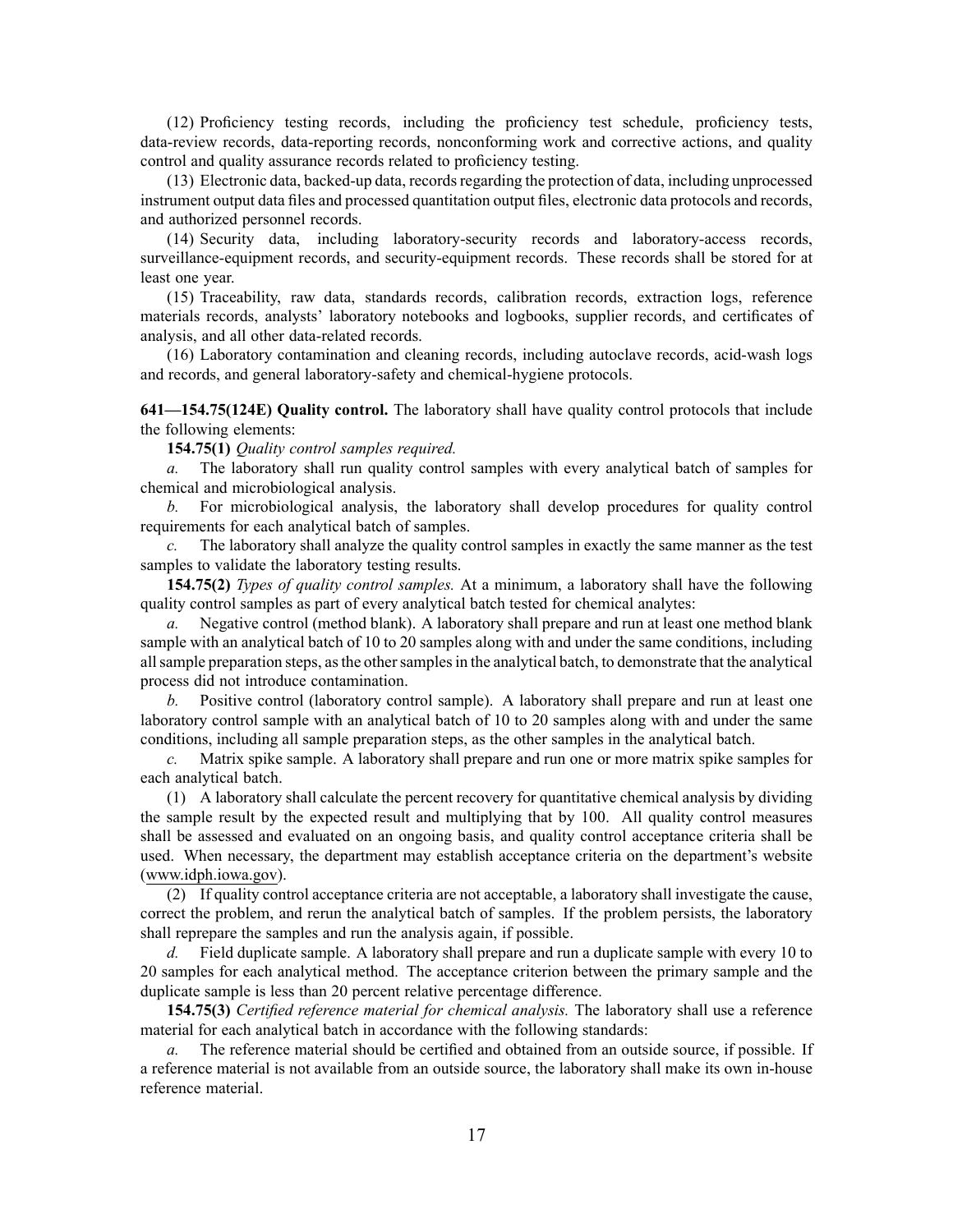(12) Proficiency testing records, including the proficiency test schedule, proficiency tests, data-review records, data-reporting records, nonconforming work and corrective actions, and quality control and quality assurance records related to proficiency testing.

(13) Electronic data, backed-up data, recordsregarding the protection of data, including unprocessed instrument output data files and processed quantitation output files, electronic data protocols and records, and authorized personnel records.

(14) Security data, including laboratory-security records and laboratory-access records, surveillance-equipment records, and security-equipment records. These records shall be stored for at least one year.

(15) Traceability, raw data, standards records, calibration records, extraction logs, reference materials records, analysts' laboratory notebooks and logbooks, supplier records, and certificates of analysis, and all other data-related records.

(16) Laboratory contamination and cleaning records, including autoclave records, acid-wash logs and records, and general laboratory-safety and chemical-hygiene protocols.

**641—154.75(124E) Quality control.** The laboratory shall have quality control protocols that include the following elements:

**154.75(1)** *Quality control samples required.*

*a.* The laboratory shall run quality control samples with every analytical batch of samples for chemical and microbiological analysis.

*b.* For microbiological analysis, the laboratory shall develop procedures for quality control requirements for each analytical batch of samples.

*c.* The laboratory shall analyze the quality control samples in exactly the same manner as the test samples to validate the laboratory testing results.

**154.75(2)** *Types of quality control samples.* At <sup>a</sup> minimum, <sup>a</sup> laboratory shall have the following quality control samples as par<sup>t</sup> of every analytical batch tested for chemical analytes:

*a.* Negative control (method blank). A laboratory shall prepare and run at least one method blank sample with an analytical batch of 10 to 20 samples along with and under the same conditions, including allsample preparation steps, asthe othersamplesin the analytical batch, to demonstrate that the analytical process did not introduce contamination.

*b.* Positive control (laboratory control sample). A laboratory shall prepare and run at least one laboratory control sample with an analytical batch of 10 to 20 samples along with and under the same conditions, including all sample preparation steps, as the other samples in the analytical batch.

*c.* Matrix spike sample. A laboratory shall prepare and run one or more matrix spike samples for each analytical batch.

(1) A laboratory shall calculate the percen<sup>t</sup> recovery for quantitative chemical analysis by dividing the sample result by the expected result and multiplying that by 100. All quality control measures shall be assessed and evaluated on an ongoing basis, and quality control acceptance criteria shall be used. When necessary, the department may establish acceptance criteria on the department's website ([www.idph.iowa.gov](http://www.idph.iowa.gov)).

(2) If quality control acceptance criteria are not acceptable, <sup>a</sup> laboratory shall investigate the cause, correct the problem, and rerun the analytical batch of samples. If the problem persists, the laboratory shall reprepare the samples and run the analysis again, if possible.

*d.* Field duplicate sample. A laboratory shall prepare and run <sup>a</sup> duplicate sample with every 10 to 20 samples for each analytical method. The acceptance criterion between the primary sample and the duplicate sample is less than 20 percen<sup>t</sup> relative percentage difference.

**154.75(3)** *Certified reference material for chemical analysis.* The laboratory shall use <sup>a</sup> reference material for each analytical batch in accordance with the following standards:

*a.* The reference material should be certified and obtained from an outside source, if possible. If <sup>a</sup> reference material is not available from an outside source, the laboratory shall make its own in-house reference material.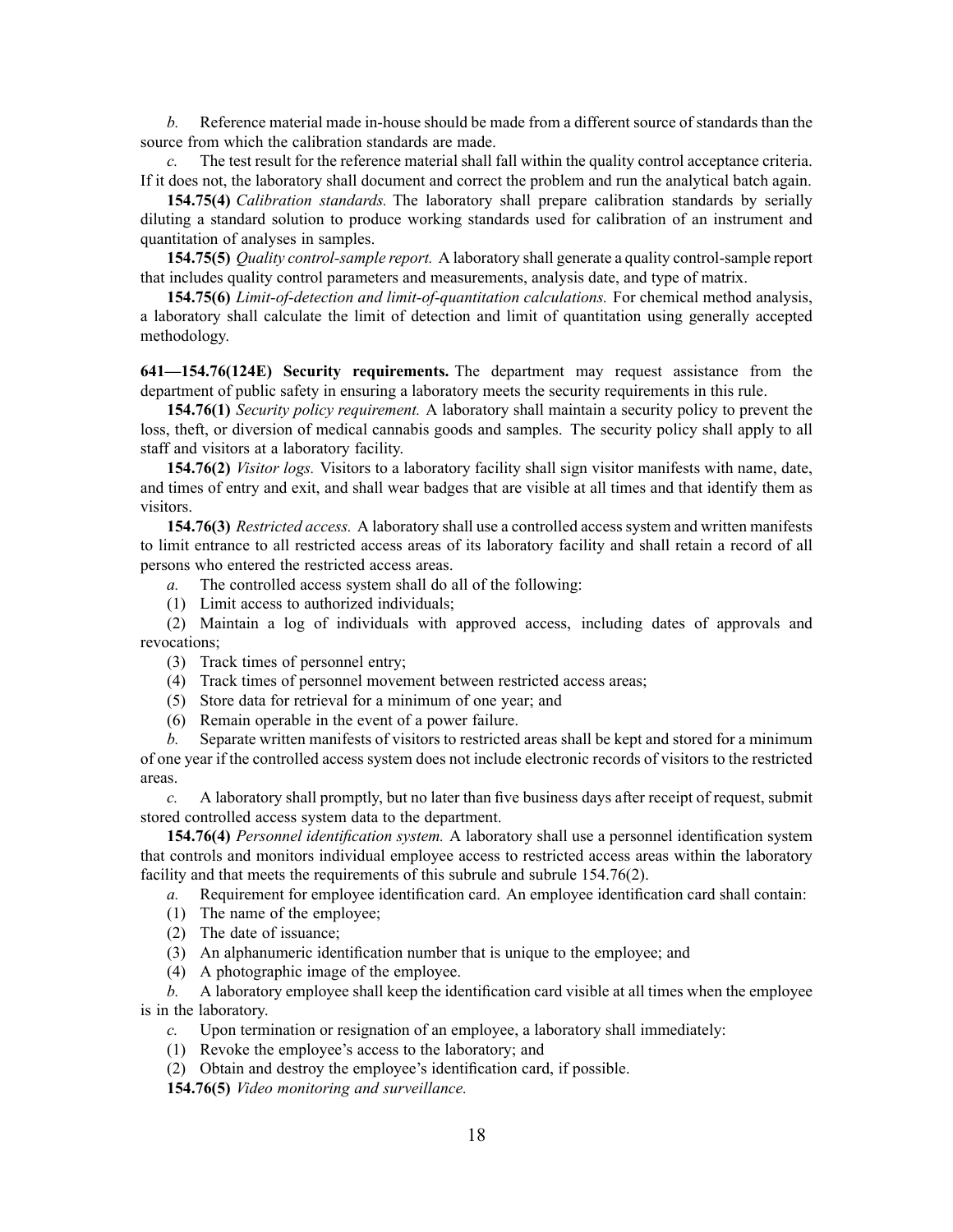*b.* Reference material made in-house should be made from <sup>a</sup> different source of standards than the source from which the calibration standards are made.

*c.* The test result for the reference material shall fall within the quality control acceptance criteria. If it does not, the laboratory shall document and correct the problem and run the analytical batch again.

**154.75(4)** *Calibration standards.* The laboratory shall prepare calibration standards by serially diluting <sup>a</sup> standard solution to produce working standards used for calibration of an instrument and quantitation of analyses in samples.

**154.75(5)** *Quality control-sample report.* A laboratory shall generate <sup>a</sup> quality control-sample repor<sup>t</sup> that includes quality control parameters and measurements, analysis date, and type of matrix.

**154.75(6)** *Limit-of-detection and limit-of-quantitation calculations.* For chemical method analysis, <sup>a</sup> laboratory shall calculate the limit of detection and limit of quantitation using generally accepted methodology.

**641—154.76(124E) Security requirements.** The department may reques<sup>t</sup> assistance from the department of public safety in ensuring <sup>a</sup> laboratory meets the security requirements in this rule.

**154.76(1)** *Security policy requirement.* A laboratory shall maintain <sup>a</sup> security policy to preven<sup>t</sup> the loss, theft, or diversion of medical cannabis goods and samples. The security policy shall apply to all staff and visitors at <sup>a</sup> laboratory facility.

**154.76(2)** *Visitor logs.* Visitors to <sup>a</sup> laboratory facility shall sign visitor manifests with name, date, and times of entry and exit, and shall wear badges that are visible at all times and that identify them as visitors.

**154.76(3)** *Restricted access.* A laboratory shall use <sup>a</sup> controlled access system and written manifests to limit entrance to all restricted access areas of its laboratory facility and shall retain <sup>a</sup> record of all persons who entered the restricted access areas.

*a.* The controlled access system shall do all of the following:

(1) Limit access to authorized individuals;

(2) Maintain <sup>a</sup> log of individuals with approved access, including dates of approvals and revocations;

(3) Track times of personnel entry;

- (4) Track times of personnel movement between restricted access areas;
- (5) Store data for retrieval for <sup>a</sup> minimum of one year; and
- (6) Remain operable in the event of <sup>a</sup> power failure.

*b.* Separate written manifests of visitors to restricted areas shall be kept and stored for <sup>a</sup> minimum of one year if the controlled access system does not include electronic records of visitors to the restricted areas.

*c.* A laboratory shall promptly, but no later than five business days after receipt of request, submit stored controlled access system data to the department.

**154.76(4)** *Personnel identification system.* A laboratory shall use <sup>a</sup> personnel identification system that controls and monitors individual employee access to restricted access areas within the laboratory facility and that meets the requirements of this subrule and subrule 154.76(2).

*a.* Requirement for employee identification card. An employee identification card shall contain:

- (1) The name of the employee;
- (2) The date of issuance;
- (3) An alphanumeric identification number that is unique to the employee; and

(4) A photographic image of the employee.

*b.* A laboratory employee shall keep the identification card visible at all times when the employee is in the laboratory.

*c.* Upon termination or resignation of an employee, <sup>a</sup> laboratory shall immediately:

- (1) Revoke the employee's access to the laboratory; and
- (2) Obtain and destroy the employee's identification card, if possible.

**154.76(5)** *Video monitoring and surveillance.*